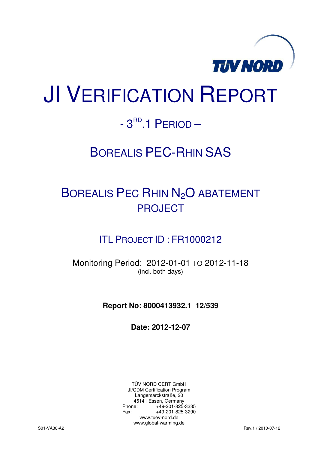

# JI VERIFICATION REPORT

## $-3^{RD}$ .1 PERIOD  $-$

## BOREALIS PEC-RHIN SAS

## BOREALIS PEC RHIN N<sub>2</sub>O ABATEMENT PROJECT

## ITL PROJECT ID : FR1000212

Monitoring Period: 2012-01-01 TO 2012-11-18 (incl. both days)

**Report No: 8000413932.1 12/539** 

**Date: 2012-12-07** 

TÜV NORD CERT GmbH JI/CDM Certification Program Langemarckstraße, 20 45141 Essen, Germany<br>+49-201-825-49 +49-201-825-3335 Fax: +49-201-825-3290 www.tuev-nord.de www.global-warming.de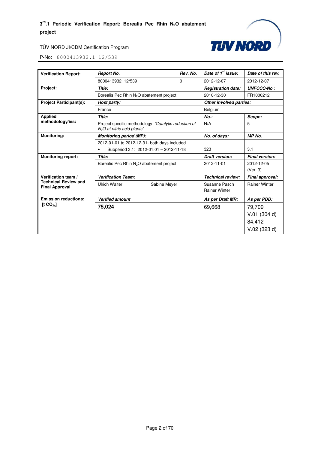

| <b>Verification Report:</b>                          | <b>Report No.</b>                                                                                | Rev. No.     | Date of 1 <sup>st</sup> issue: | Date of this rev.    |  |
|------------------------------------------------------|--------------------------------------------------------------------------------------------------|--------------|--------------------------------|----------------------|--|
|                                                      | 8000413932 12/539                                                                                | $\Omega$     | 2012-12-07                     | 2012-12-07           |  |
| Project:                                             | Title:                                                                                           |              | <b>Registration date:</b>      | <b>UNFCCC-No.:</b>   |  |
|                                                      | Borealis Pec Rhin N <sub>2</sub> O abatement project                                             |              | 2010-12-30                     | FR1000212            |  |
| <b>Project Participant(s):</b>                       | Host party:                                                                                      |              | Other involved parties:        |                      |  |
|                                                      | France                                                                                           |              | Belgium                        |                      |  |
| <b>Applied</b>                                       | Title:                                                                                           |              | $No.$ :                        | Scope:               |  |
| methodology/ies:                                     | Project specific methodology: 'Catalytic reduction of<br>N <sub>2</sub> O at nitric acid plants' |              | N/A                            | 5                    |  |
| <b>Monitoring:</b>                                   | <b>Monitoring period (MP):</b>                                                                   | No. of days: | <b>MP No.</b>                  |                      |  |
|                                                      | 2012-01-01 to 2012-12-31- both days included                                                     |              |                                |                      |  |
|                                                      | Subperiod 3.1: 2012-01.01 - 2012-11-18<br>٠                                                      |              | 323                            | 3.1                  |  |
| <b>Monitoring report:</b>                            | Title:                                                                                           |              | Draft version:                 | Final version:       |  |
|                                                      | Borealis Pec Rhin N <sub>2</sub> O abatement project                                             |              | 2012-11-01                     | 2012-12-05           |  |
|                                                      |                                                                                                  |              |                                | (Ver. 3)             |  |
| Verification team /                                  | <b>Verification Team:</b>                                                                        |              | <b>Technical review:</b>       | Final approval:      |  |
| <b>Technical Review and</b><br><b>Final Approval</b> | <b>Ulrich Walter</b><br>Sabine Meyer                                                             |              | Susanne Pasch                  | <b>Rainer Winter</b> |  |
|                                                      |                                                                                                  |              | <b>Rainer Winter</b>           |                      |  |
| <b>Emission reductions:</b>                          | <b>Verified amount</b>                                                                           |              | As per Draft MR:               | As per PDD:          |  |
| [t CO <sub>2e</sub> ]                                | 75,024                                                                                           |              | 69,668                         | 79,709               |  |
|                                                      |                                                                                                  |              |                                | $V.01$ (304 d)       |  |
|                                                      |                                                                                                  |              |                                | 84,412               |  |
|                                                      |                                                                                                  |              |                                | $V.02$ (323 d)       |  |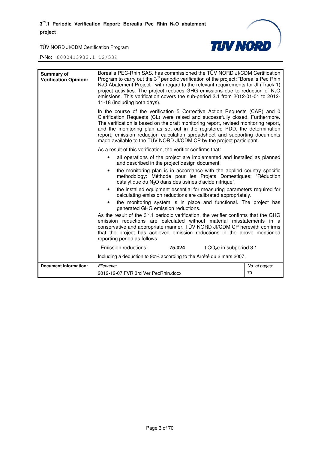

| Summary of<br><b>Verification Opinion:</b> | Borealis PEC-Rhin SAS. has commissioned the TÜV NORD JI/CDM Certification<br>Program to carry out the 3 <sup>rd</sup> periodic verification of the project: "Borealis Pec Rhin<br>N <sub>2</sub> O Abatement Project", with regard to the relevant requirements for JI (Track 1)<br>project activities. The project reduces GHG emissions due to reduction of $N_2O$<br>emissions. This verification covers the sub-period 3.1 from 2012-01-01 to 2012-<br>11-18 (including both days).   |               |
|--------------------------------------------|-------------------------------------------------------------------------------------------------------------------------------------------------------------------------------------------------------------------------------------------------------------------------------------------------------------------------------------------------------------------------------------------------------------------------------------------------------------------------------------------|---------------|
|                                            | In the course of the verification 5 Corrective Action Requests (CAR) and 0<br>Clarification Requests (CL) were raised and successfully closed. Furthermore.<br>The verification is based on the draft monitoring report, revised monitoring report,<br>and the monitoring plan as set out in the registered PDD, the determination<br>report, emission reduction calculation spreadsheet and supporting documents<br>made available to the TÜV NORD JI/CDM CP by the project participant. |               |
|                                            | As a result of this verification, the verifier confirms that:                                                                                                                                                                                                                                                                                                                                                                                                                             |               |
|                                            | all operations of the project are implemented and installed as planned<br>and described in the project design document.                                                                                                                                                                                                                                                                                                                                                                   |               |
|                                            | the monitoring plan is in accordance with the applied country specific<br>$\bullet$<br>methodology: Méthode pour les Projets Domestiques: "Réduction<br>catalytique du N <sub>2</sub> O dans des usines d'acide nitrique".                                                                                                                                                                                                                                                                |               |
|                                            | the installed equipment essential for measuring parameters required for<br>$\bullet$<br>calculating emission reductions are calibrated appropriately.                                                                                                                                                                                                                                                                                                                                     |               |
|                                            | the monitoring system is in place and functional. The project has<br>generated GHG emission reductions.                                                                                                                                                                                                                                                                                                                                                                                   |               |
|                                            | As the result of the $3rd$ .1 periodic verification, the verifier confirms that the GHG<br>emission reductions are calculated without material misstatements in a<br>conservative and appropriate manner. TÜV NORD JI/CDM CP herewith confirms<br>that the project has achieved emission reductions in the above mentioned<br>reporting period as follows:                                                                                                                                |               |
|                                            | 75,024<br>Emission reductions:<br>t CO <sub>2</sub> e in subperiod 3.1                                                                                                                                                                                                                                                                                                                                                                                                                    |               |
|                                            | Including a deduction to 90% according to the Arrêté du 2 mars 2007.                                                                                                                                                                                                                                                                                                                                                                                                                      |               |
| <b>Document information:</b>               | Filename:                                                                                                                                                                                                                                                                                                                                                                                                                                                                                 | No. of pages: |
|                                            | 2012-12-07 FVR 3rd Ver PecRhin.docx                                                                                                                                                                                                                                                                                                                                                                                                                                                       | 70            |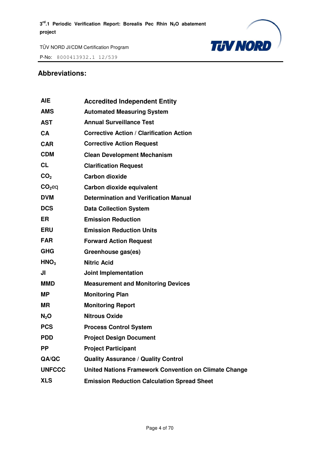

P-No: 8000413932.1 12/539

### **Abbreviations:**

| AIE              | <b>Accredited Independent Entity</b>                  |
|------------------|-------------------------------------------------------|
| <b>AMS</b>       | <b>Automated Measuring System</b>                     |
| <b>AST</b>       | <b>Annual Surveillance Test</b>                       |
| <b>CA</b>        | <b>Corrective Action / Clarification Action</b>       |
| <b>CAR</b>       | <b>Corrective Action Request</b>                      |
| <b>CDM</b>       | <b>Clean Development Mechanism</b>                    |
| <b>CL</b>        | <b>Clarification Request</b>                          |
| CO <sub>2</sub>  | <b>Carbon dioxide</b>                                 |
| $CO2$ eq         | Carbon dioxide equivalent                             |
| <b>DVM</b>       | <b>Determination and Verification Manual</b>          |
| <b>DCS</b>       | <b>Data Collection System</b>                         |
| <b>ER</b>        | <b>Emission Reduction</b>                             |
| <b>ERU</b>       | <b>Emission Reduction Units</b>                       |
| <b>FAR</b>       | <b>Forward Action Request</b>                         |
| <b>GHG</b>       | Greenhouse gas(es)                                    |
| HNO <sub>3</sub> | <b>Nitric Acid</b>                                    |
| JI               | Joint Implementation                                  |
| <b>MMD</b>       | <b>Measurement and Monitoring Devices</b>             |
| <b>MP</b>        | <b>Monitoring Plan</b>                                |
| <b>MR</b>        | <b>Monitoring Report</b>                              |
| $N_2O$           | <b>Nitrous Oxide</b>                                  |
| <b>PCS</b>       | <b>Process Control System</b>                         |
| <b>PDD</b>       | <b>Project Design Document</b>                        |
| <b>PP</b>        | <b>Project Participant</b>                            |
| QA/QC            | <b>Quality Assurance / Quality Control</b>            |
| <b>UNFCCC</b>    | United Nations Framework Convention on Climate Change |
| <b>XLS</b>       | <b>Emission Reduction Calculation Spread Sheet</b>    |
|                  |                                                       |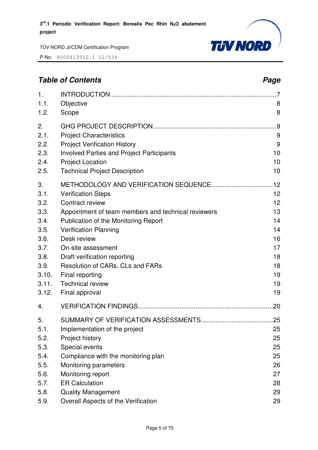

P-No: 8000413932.1 12/539

## **Table of Contents** *Page Page 2* 1. INTRODUCTION ............................................................................................ 7 1.1. Objective 8 1.2. Scope 8 2. GHG PROJECT DESCRIPTION..................................................................... 9 2.1. Project Characteristics 9 2.2. Project Verification History 9 2.3. Involved Parties and Project Participants 10 2.4. Project Location 10 2.5. Technical Project Description 10 3. METHODOLOGY AND VERIFICATION SEQUENCE .................................. 12 3.1. Verification Steps 12 3.2. Contract review 12 3.3. Appointment of team members and technical reviewers 13 3.4. Publication of the Monitoring Report 14 3.5. Verification Planning 14 3.6. Desk review 16 3.7. On-site assessment 17 3.8. Draft verification reporting 18 3.9. Resolution of CARs, CLs and FARs 18 3.10. Final reporting 19 3.11. Technical review 19 3.12. Final approval and the set of the set of the set of the set of the set of the set of the set of the set of the set of the set of the set of the set of the set of the set of the set of the set of the set of the set of 4. VERIFICATION FINDINGS ........................................................................... 20 5. SUMMARY OF VERIFICATION ASSESSMENTS ........................................ 25 5.1. Implementation of the project 25 5.2. Project history 25 5.3. Special events 25 5.4. Compliance with the monitoring plan 25 5.5. Monitoring parameters 26 5.6. Monitoring report 27 5.7. ER Calculation 28 5.8. Quality Management 29

5.9. Overall Aspects of the Verification 29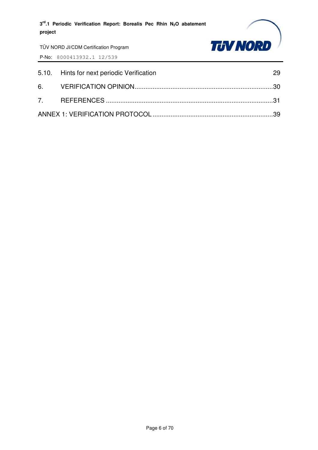

| 5.10. Hints for next periodic Verification | 29 |
|--------------------------------------------|----|
|                                            |    |
|                                            |    |
|                                            |    |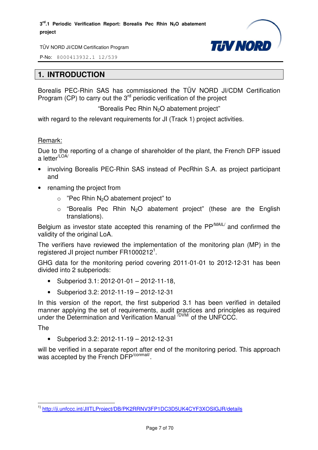

P-No: 8000413932.1 12/539

## **1. INTRODUCTION**

Borealis PEC-Rhin SAS has commissioned the TÜV NORD JI/CDM Certification Program (CP) to carry out the  $3<sup>rd</sup>$  periodic verification of the project

"Borealis Pec Rhin  $N_2O$  abatement project"

with regard to the relevant requirements for JI (Track 1) project activities.

#### Remark:

Due to the reporting of a change of shareholder of the plant, the French DFP issued a letter<sup>/LOA/</sup>

- involving Borealis PEC-Rhin SAS instead of PecRhin S.A. as project participant and
- renaming the project from
	- $\circ$  "Pec Rhin N<sub>2</sub>O abatement project" to
	- $\circ$  "Borealis Pec Rhin N<sub>2</sub>O abatement project" (these are the English translations).

Belgium as investor state accepted this renaming of the PP<sup>/MAIL/</sup> and confirmed the validity of the original LoA.

The verifiers have reviewed the implementation of the monitoring plan (MP) in the registered JI project number FR1000212<sup>1</sup>.

GHG data for the monitoring period covering 2011-01-01 to 2012-12-31 has been divided into 2 subperiods:

- Subperiod 3.1: 2012-01-01 2012-11-18,
- Subperiod 3.2: 2012-11-19 2012-12-31

In this version of the report, the first subperiod 3.1 has been verified in detailed manner applying the set of requirements, audit practices and principles as required under the Determination and Verification Manual <sup>/DVM/</sup> of the UNFCCC.

The

• Subperiod 3.2: 2012-11-19 – 2012-12-31

will be verified in a separate report after end of the monitoring period. This approach was accepted by the French DFP<sup>/conmail/</sup>.

l 1) http://ji.unfccc.int/JIITLProject/DB/PK2RRNV3FP1DC3D5UK4CYF3XOSIGJR/details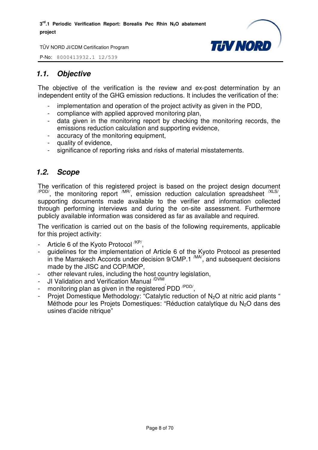

P-No: 8000413932.1 12/539

## *1.1. Objective*

The objective of the verification is the review and ex-post determination by an independent entity of the GHG emission reductions. It includes the verification of the:

- implementation and operation of the project activity as given in the PDD.
- compliance with applied approved monitoring plan,
- data given in the monitoring report by checking the monitoring records, the emissions reduction calculation and supporting evidence,
- accuracy of the monitoring equipment,
- quality of evidence,
- significance of reporting risks and risks of material misstatements.

## *1.2. Scope*

The verification of this registered project is based on the project design document  $\mu_{\text{PDD}}$ , the monitoring report  $\mu_{\text{IR}}$ , emission reduction calculation spreadsheet  $\mu_{\text{SND}}$ supporting documents made available to the verifier and information collected through performing interviews and during the on-site assessment. Furthermore publicly available information was considered as far as available and required.

The verification is carried out on the basis of the following requirements, applicable for this project activity:

- Article 6 of the Kyoto Protocol <sup>/KP/</sup>,
- guidelines for the implementation of Article 6 of the Kyoto Protocol as presented in the Marrakech Accords under decision  $9/CMP.1$   $^{(MA)}$ , and subsequent decisions made by the JISC and COP/MOP,
- other relevant rules, including the host country legislation,
- JI Validation and Verification Manual <sup>/DVM/</sup>,
- monitoring plan as given in the registered PDD<sup>/PDD/</sup>,
- Projet Domestique Methodology: "Catalytic reduction of N2O at nitric acid plants " Méthode pour les Projets Domestiques: "Réduction catalytique du  $N<sub>2</sub>O$  dans des usines d'acide nitrique"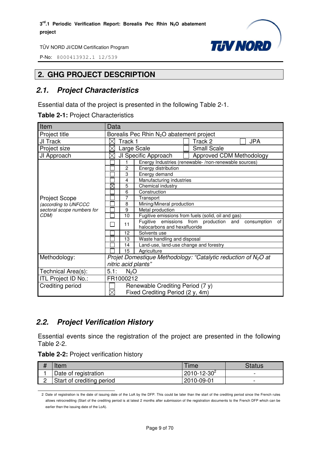

P-No: 8000413932.1 12/539

## **2. GHG PROJECT DESCRIPTION**

## *2.1. Project Characteristics*

Essential data of the project is presented in the following Table 2-1.

| Table 2-1: Project Characteristics |  |
|------------------------------------|--|
|------------------------------------|--|

| Item                       | Data                                                 |                |                                        |  |                                                                  |    |
|----------------------------|------------------------------------------------------|----------------|----------------------------------------|--|------------------------------------------------------------------|----|
| Project title              | Borealis Pec Rhin N <sub>2</sub> O abatement project |                |                                        |  |                                                                  |    |
| JI Track                   | $\times$                                             | Track 1        |                                        |  | <b>JPA</b><br>Track 2                                            |    |
| Project size               | $\times$                                             |                | Large Scale                            |  | <b>Small Scale</b>                                               |    |
| JI Approach                | $\times$                                             |                | JI Specific Approach                   |  | Approved CDM Methodology                                         |    |
|                            |                                                      | 1.             |                                        |  | Energy Industries (renewable-/non-renewable sources)             |    |
|                            |                                                      | $\overline{2}$ | Energy distribution                    |  |                                                                  |    |
|                            |                                                      | 3              | Energy demand                          |  |                                                                  |    |
|                            |                                                      | 4              | Manufacturing industries               |  |                                                                  |    |
|                            | $\boxtimes$                                          | 5              | Chemical industry                      |  |                                                                  |    |
|                            |                                                      | 6              | Construction                           |  |                                                                  |    |
| <b>Project Scope</b>       |                                                      | 7              | Transport                              |  |                                                                  |    |
| (according to UNFCCC       |                                                      | 8              | Mining/Mineral production              |  |                                                                  |    |
| sectoral scope numbers for |                                                      | 9              | Metal production                       |  |                                                                  |    |
| CDM)                       |                                                      | 10             |                                        |  | Fugitive emissions from fuels (solid, oil and gas)               |    |
|                            |                                                      | 11             | halocarbons and hexafluoride           |  | Fugitive emissions from production and<br>consumption            | of |
|                            |                                                      | 12             | Solvents use                           |  |                                                                  |    |
|                            |                                                      | 13             | Waste handling and disposal            |  |                                                                  |    |
|                            |                                                      | 14             | Land-use, land-use change and forestry |  |                                                                  |    |
|                            |                                                      | 15             | Agriculture                            |  |                                                                  |    |
| Methodology:               |                                                      |                |                                        |  | Projet Domestique Methodology: "Catalytic reduction of $N_2O$ at |    |
|                            | nitric acid plants"                                  |                |                                        |  |                                                                  |    |
| Technical Area(s):         | 5.1:                                                 | $N_2O$         |                                        |  |                                                                  |    |
| ITL Project ID No.:        | FR1000212                                            |                |                                        |  |                                                                  |    |
| Crediting period           |                                                      |                | Renewable Crediting Period (7 y)       |  |                                                                  |    |
|                            | $\boxtimes$                                          |                | Fixed Crediting Period (2 y, 4m)       |  |                                                                  |    |

## *2.2. Project Verification History*

Essential events since the registration of the project are presented in the following Table 2-2.

| Table 2-2: Project verification history |  |  |
|-----------------------------------------|--|--|
|-----------------------------------------|--|--|

l

| Item                      | <b>Time</b>        | Status                   |
|---------------------------|--------------------|--------------------------|
| Date of registration      | $2010 - 12 - 30^2$ | -                        |
| Start of crediting period | 2010-09-01         | $\overline{\phantom{0}}$ |

<sup>2</sup> Date of registration is the date of issuing date of the LoA by the DFP. This could be later than the start of the crediting period since the French rules allows retrocrediting (Start of the crediting period is at latest 2 months after submission of the registration documents to the French DFP which can be earlier than the issuing date of the LoA).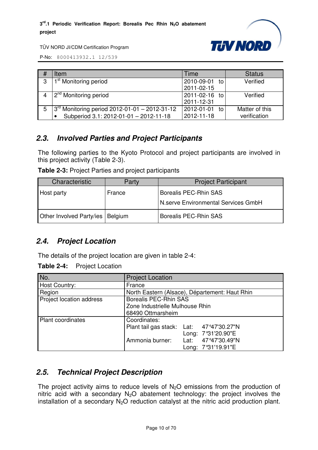

P-No: 8000413932.1 12/539

| # | Item                                            | Time             | <b>Status</b>  |
|---|-------------------------------------------------|------------------|----------------|
| 3 | 1 <sup>st</sup> Monitoring period               | 2010-09-01<br>to | Verified       |
|   |                                                 | 2011-02-15       |                |
|   | 12 <sup>nd</sup> Monitoring period              | 2011-02-16 to    | Verified       |
|   |                                                 | 2011-12-31       |                |
| 5 | $3rd$ Monitoring period 2012-01-01 - 2012-31-12 | 2012-01-01 to    | Matter of this |
|   | Subperiod 3.1: 2012-01-01 - 2012-11-18          | 2012-11-18       | verification   |

## *2.3. Involved Parties and Project Participants*

The following parties to the Kyoto Protocol and project participants are involved in this project activity (Table 2-3).

| Table 2-3: Project Parties and project participants |  |  |
|-----------------------------------------------------|--|--|
|-----------------------------------------------------|--|--|

| Characteristic                     | Party  | <b>Project Participant</b>          |
|------------------------------------|--------|-------------------------------------|
| Host party                         | France | Borealis PEC-Rhin SAS               |
|                                    |        | N.serve Environmental Services GmbH |
| Other Involved Party/ies   Belgium |        | Borealis PEC-Rhin SAS               |

## *2.4. Project Location*

The details of the project location are given in table 2-4:

**Table 2-4:** Project Location

| No.                      | <b>Project Location</b>                                                                                                                       |  |  |  |
|--------------------------|-----------------------------------------------------------------------------------------------------------------------------------------------|--|--|--|
| Host Country:            | France                                                                                                                                        |  |  |  |
| Region                   | North Eastern (Alsace), Département: Haut Rhin                                                                                                |  |  |  |
| Project location address | <b>Borealis PEC-Rhin SAS</b><br>Zone Industrielle Mulhouse Rhin<br>68490 Ottmarsheim                                                          |  |  |  |
| <b>Plant coordinates</b> | Coordinates:<br>Plant tail gas stack: Lat: 47°47'30.27"N<br>Long: 7°31'20.90"E<br>Ammonia burner:<br>Lat: 47°47'30.49"N<br>Long: 7°31'19.91"E |  |  |  |

## *2.5. Technical Project Description*

The project activity aims to reduce levels of  $N<sub>2</sub>O$  emissions from the production of nitric acid with a secondary  $N_2O$  abatement technology: the project involves the installation of a secondary  $N_2O$  reduction catalyst at the nitric acid production plant.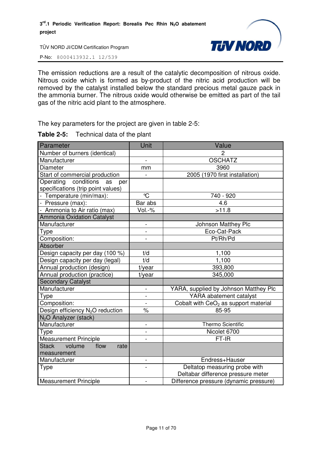

P-No: 8000413932.1 12/539

The emission reductions are a result of the catalytic decomposition of nitrous oxide. Nitrous oxide which is formed as by-product of the nitric acid production will be removed by the catalyst installed below the standard precious metal gauze pack in the ammonia burner. The nitrous oxide would otherwise be emitted as part of the tail gas of the nitric acid plant to the atmosphere.

The key parameters for the project are given in table 2-5:

| Parameter                                    | Unit                     | Value                                            |
|----------------------------------------------|--------------------------|--------------------------------------------------|
| Number of burners (identical)                |                          | 2                                                |
| Manufacturer                                 | $\overline{a}$           | <b>OSCHATZ</b>                                   |
| <b>Diameter</b>                              | mm                       | 3960                                             |
| Start of commercial production               |                          | 2005 (1970 first installation)                   |
| Operating<br>conditions<br>as<br>per         |                          |                                                  |
| specifications (trip point values)           |                          |                                                  |
| - Temperature (min/max):                     | $\mathrm{C}$             | 740 - 920                                        |
| - Pressure (max):                            | Bar abs                  | 4.6                                              |
| - Ammonia to Air ratio (max)                 | Vol.-%                   | >11.8                                            |
| <b>Ammonia Oxidation Catalyst</b>            |                          |                                                  |
| Manufacturer                                 | $\overline{\phantom{a}}$ | Johnson Matthey Plc                              |
| <b>Type</b>                                  | $\overline{a}$           | Eco-Cat-Pack                                     |
| Composition:                                 |                          | Pt/Rh/Pd                                         |
| Absorber                                     |                          |                                                  |
| Design capacity per day (100 %)              | t/d                      | 1,100                                            |
| Design capacity per day (legal)              | t/d                      | 1,100                                            |
| Annual production (design)                   | t/year                   | 393,800                                          |
| Annual production (practice)                 | t/year                   | 345,000                                          |
| <b>Secondary Catalyst</b>                    |                          |                                                  |
| Manufacturer                                 | $\overline{a}$           | YARA, supplied by Johnson Matthey Plc            |
| Type                                         | $\overline{\phantom{a}}$ | YARA abatement catalyst                          |
| Composition:                                 | $\blacksquare$           | Cobalt with CeO <sub>2</sub> as support material |
| Design efficiency N <sub>2</sub> O reduction | $\%$                     | 85-95                                            |
| N <sub>2</sub> O Analyzer (stack)            |                          |                                                  |
| Manufacturer                                 | $\overline{\phantom{0}}$ | <b>Thermo Scientific</b>                         |
| Type                                         | $\overline{\phantom{0}}$ | Nicolet 6700                                     |
| <b>Measurement Principle</b>                 |                          | FT-IR                                            |
| flow<br>Stack volume<br>rate                 |                          |                                                  |
| measurement                                  |                          |                                                  |
| Manufacturer                                 | $\qquad \qquad -$        | Endress+Hauser                                   |
| <b>Type</b>                                  | $\overline{a}$           | Deltatop measuring probe with                    |
|                                              |                          | Deltabar difference pressure meter               |
| <b>Measurement Principle</b>                 | $\blacksquare$           | Difference pressure (dynamic pressure)           |

#### **Table 2-5:** Technical data of the plant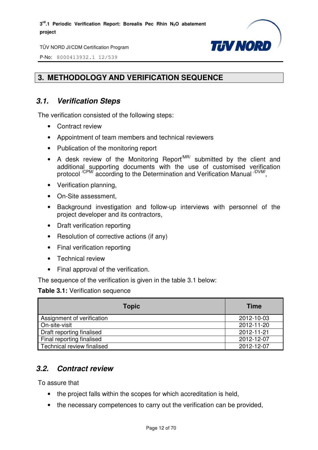

P-No: 8000413932.1 12/539

## **3. METHODOLOGY AND VERIFICATION SEQUENCE**

## *3.1. Verification Steps*

The verification consisted of the following steps:

- Contract review
- Appointment of team members and technical reviewers
- Publication of the monitoring report
- A desk review of the Monitoring Report<sup>MR/</sup> submitted by the client and additional supporting documents with the use of customised verification protocol <sup>/CPM/</sup> according to the Determination and Verification Manual <sup>/DVM/</sup>,
- Verification planning,
- On-Site assessment,
- Background investigation and follow-up interviews with personnel of the project developer and its contractors,
- Draft verification reporting
- Resolution of corrective actions (if any)
- Final verification reporting
- Technical review
- Final approval of the verification.

The sequence of the verification is given in the table 3.1 below:

#### **Table 3.1:** Verification sequence

| <b>Topic</b>               | <b>Time</b> |
|----------------------------|-------------|
| Assignment of verification | 2012-10-03  |
| On-site-visit              | 2012-11-20  |
| Draft reporting finalised  | 2012-11-21  |
| Final reporting finalised  | 2012-12-07  |
| Technical review finalised | 2012-12-07  |

## *3.2. Contract review*

To assure that

- the project falls within the scopes for which accreditation is held,
- the necessary competences to carry out the verification can be provided,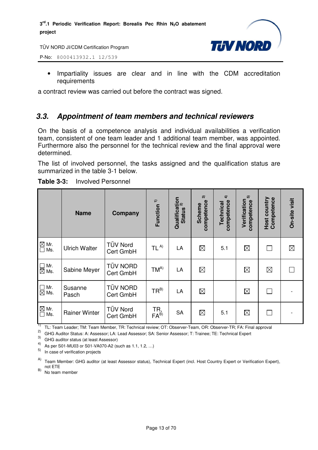

P-No: 8000413932.1 12/539

• Impartiality issues are clear and in line with the CDM accreditation requirements

a contract review was carried out before the contract was signed.

## *3.3. Appointment of team members and technical reviewers*

On the basis of a competence analysis and individual availabilities a verification team, consistent of one team leader and 1 additional team member, was appointed. Furthermore also the personnel for the technical review and the final approval were determined.

The list of involved personnel, the tasks assigned and the qualification status are summarized in the table 3-1 below.

|                                                            | <b>Name</b>          | Company                      | Function <sup>1)</sup>  | Qualification<br>Ctatius <sup>2)</sup><br><b>Status</b> | $\widehat{\mathcal{C}}$<br>competence<br><b>Scheme</b> | $\widehat{+}$<br>competence<br>Technical | 5<br>Verification<br>competence | Competence<br>Host country | On-site visit |
|------------------------------------------------------------|----------------------|------------------------------|-------------------------|---------------------------------------------------------|--------------------------------------------------------|------------------------------------------|---------------------------------|----------------------------|---------------|
| $\overline{\mathbb{Z}}$ Mr.<br>$\overline{\mathbb{Z}}$ Ms. | <b>Ulrich Walter</b> | <b>TÜV Nord</b><br>Cert GmbH | TL <sup>A</sup>         | LA                                                      | $\boxtimes$                                            | 5.1                                      | $\boxtimes$                     |                            | $\boxtimes$   |
| $\Box$ Mr.<br>$\overline{\boxtimes}$ Ms.                   | Sabine Meyer         | <b>TÜV NORD</b><br>Cert GmbH | $TM^{A)}$               | LA                                                      | $\boxtimes$                                            |                                          | $\boxtimes$                     | $\boxtimes$                |               |
| $\Box$ Mr.<br>$\boxtimes$ Ms.                              | Susanne<br>Pasch     | <b>TÜV NORD</b><br>Cert GmbH | $TR^{B}$                | LA                                                      | $\boxtimes$                                            |                                          | $\boxtimes$                     |                            |               |
| $\underline{\boxtimes}$ Mr.<br>$\Box$<br>Ms.               | <b>Rainer Winter</b> | <b>TÜV Nord</b><br>Cert GmbH | TR,<br>FA <sup>B)</sup> | <b>SA</b>                                               | $\boxtimes$                                            | 5.1                                      | $\boxtimes$                     |                            |               |

**Table 3-3:** Involved Personnel

<sup>1)</sup> TL: Team Leader; TM: Team Member, TR: Technical review; OT: Observer-Team, OR: Observer-TR; FA: Final approval

2) GHG Auditor Status: A: Assessor; LA: Lead Assessor; SA: Senior Assessor; T: Trainee; TE: Technical Expert

3) GHG auditor status (at least Assessor)

4) As per S01-MU03 or S01-VA070-A2 (such as 1.1, 1.2, …)

5) In case of verification projects

 $(B)$  No team member

A) Team Member: GHG auditor (at least Assessor status), Technical Expert (incl. Host Country Expert or Verification Expert), not ETE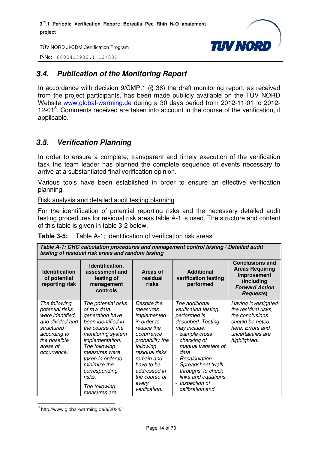

P-No: 8000413932.1 12/539

## *3.4. Publication of the Monitoring Report*

In accordance with decision 9/CMP.1 (§ 36) the draft monitoring report, as received from the project participants, has been made publicly available on the TÜV NORD Website www.global-warming.de during a 30 days period from 2012-11-01 to 2012- 12-01<sup>3</sup>. Comments received are taken into account in the course of the verification, if applicable.

## *3.5. Verification Planning*

In order to ensure a complete, transparent and timely execution of the verification task the team leader has planned the complete sequence of events necessary to arrive at a substantiated final verification opinion.

Various tools have been established in order to ensure an effective verification planning.

Risk analysis and detailed audit testing planning

For the identification of potential reporting risks and the necessary detailed audit testing procedures for residual risk areas table A-1 is used. The structure and content of this table is given in table 3-2 below.

|  | <b>Table 3-5:</b> Table A-1; Identification of verification risk areas |
|--|------------------------------------------------------------------------|
|--|------------------------------------------------------------------------|

|                                                                                                                                                 | Table A-1: GHG calculation procedures and management control testing / Detailed audit<br>testing of residual risk areas and random testing                                                                                                                                  |                                                                                                                                                                                                                            |                                                                                                                                                                                                                                                                                                           |                                                                                                                                           |  |
|-------------------------------------------------------------------------------------------------------------------------------------------------|-----------------------------------------------------------------------------------------------------------------------------------------------------------------------------------------------------------------------------------------------------------------------------|----------------------------------------------------------------------------------------------------------------------------------------------------------------------------------------------------------------------------|-----------------------------------------------------------------------------------------------------------------------------------------------------------------------------------------------------------------------------------------------------------------------------------------------------------|-------------------------------------------------------------------------------------------------------------------------------------------|--|
| <b>Identification</b><br>of potential<br>reporting risk                                                                                         | Identification,<br>assessment and<br>testing of<br>management<br>controls                                                                                                                                                                                                   | Areas of<br>residual<br>risks                                                                                                                                                                                              | <b>Additional</b><br>verification testing<br>performed                                                                                                                                                                                                                                                    | <b>Conclusions and</b><br><b>Areas Requiring</b><br>Improvement<br>(including<br><b>Forward Action</b><br><b>Requests</b> )               |  |
| The following<br>potential risks<br>were identified<br>and divided and<br>structured<br>according to<br>the possible<br>areas of<br>occurrence. | The potential risks<br>of raw data<br>generation have<br>been identified in<br>the course of the<br>monitoring system<br>implementation.<br>The following<br>measures were<br>taken in order to<br>minimize the<br>corresponding<br>risks.<br>The following<br>measures are | Despite the<br>measures<br>implemented<br>in order to<br>reduce the<br>occurrence<br>probability the<br>following<br>residual risks<br>remain and<br>have to be<br>addressed in<br>the course of<br>every<br>verification. | The additional<br>verification testing<br>performed is<br>described. Testing<br>may include:<br>- Sample cross<br>checking of<br>manual transfers of<br>data<br>- Recalculation<br>- Spreadsheet 'walk<br>throughs' to check<br>links and equations<br>Inspection of<br>$\overline{a}$<br>calibration and | Having investigated<br>the residual risks,<br>the conclusions<br>should be noted<br>here. Errors and<br>uncertainties are<br>highlighted. |  |

3 http://www.global-warming.de/e/2034/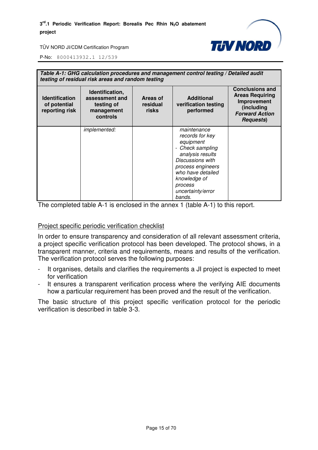

P-No: 8000413932.1 12/539

| <b>Identification</b><br>of potential<br>reporting risk | testing of residual risk areas and random testing<br>Identification,<br>assessment and<br>testing of<br>management<br>controls | Areas of<br>residual<br>risks | Table A-1: GHG calculation procedures and management control testing / Detailed audit<br><b>Additional</b><br>verification testing<br>performed                                                           | <b>Conclusions and</b><br><b>Areas Requiring</b><br>Improvement<br>(including<br><b>Forward Action</b><br><b>Requests</b> ) |
|---------------------------------------------------------|--------------------------------------------------------------------------------------------------------------------------------|-------------------------------|-----------------------------------------------------------------------------------------------------------------------------------------------------------------------------------------------------------|-----------------------------------------------------------------------------------------------------------------------------|
|                                                         | implemented:                                                                                                                   |                               | maintenance<br>records for key<br>equipment<br>Check sampling<br>analysis results<br>Discussions with<br>process engineers<br>who have detailed<br>knowledge of<br>process<br>uncertainty/error<br>bands. |                                                                                                                             |

The completed table A-1 is enclosed in the annex 1 (table A-1) to this report.

#### Project specific periodic verification checklist

In order to ensure transparency and consideration of all relevant assessment criteria, a project specific verification protocol has been developed. The protocol shows, in a transparent manner, criteria and requirements, means and results of the verification. The verification protocol serves the following purposes:

- It organises, details and clarifies the requirements a JI project is expected to meet for verification
- It ensures a transparent verification process where the verifying AIE documents how a particular requirement has been proved and the result of the verification.

The basic structure of this project specific verification protocol for the periodic verification is described in table 3-3.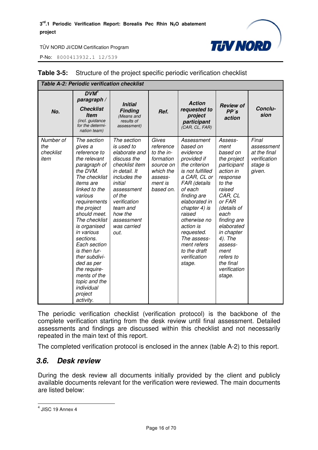

P-No: 8000413932.1 12/539

|                                       | Table A-2: Periodic verification checklist                                                                                                                                                                                                                                                                                                                                                                           |                                                                                                                                                                                                                             |                                                                                                            |                                                                                                                                                                                                                                                                                                                 |                                                                                                                                                                                                                                                                                 |                                                                           |
|---------------------------------------|----------------------------------------------------------------------------------------------------------------------------------------------------------------------------------------------------------------------------------------------------------------------------------------------------------------------------------------------------------------------------------------------------------------------|-----------------------------------------------------------------------------------------------------------------------------------------------------------------------------------------------------------------------------|------------------------------------------------------------------------------------------------------------|-----------------------------------------------------------------------------------------------------------------------------------------------------------------------------------------------------------------------------------------------------------------------------------------------------------------|---------------------------------------------------------------------------------------------------------------------------------------------------------------------------------------------------------------------------------------------------------------------------------|---------------------------------------------------------------------------|
| No.                                   | DVM <sup>4</sup><br>paragraph /<br><b>Checklist</b><br><b>Item</b><br>(incl. guidance<br>for the determi-<br>nation team)                                                                                                                                                                                                                                                                                            | <b>Initial</b><br><b>Finding</b><br>(Means and<br>results of<br>assessment)                                                                                                                                                 | Ref.                                                                                                       | <b>Action</b><br>requested to<br>project<br>participant<br>(CAR, CL, FAR)                                                                                                                                                                                                                                       | <b>Review of</b><br>PP's<br>action                                                                                                                                                                                                                                              | Conclu-<br>sion                                                           |
| Number of<br>the<br>checklist<br>item | The section<br>gives a<br>reference to<br>the relevant<br>paragraph of<br>the DVM.<br>The checklist<br><i>items are</i><br>linked to the<br>various<br>requirements<br>the project<br>should meet.<br>The checklist<br>is organised<br>in various<br>sections.<br>Each section<br>is then fur-<br>ther subdivi-<br>ded as per<br>the require-<br>ments of the<br>topic and the<br>individual<br>project<br>activity. | The section<br>is used to<br>elaborate and<br>discuss the<br>checklist item<br>in detail. It<br>includes the<br>initial<br>assessment<br>of the<br>verification<br>team and<br>how the<br>assessment<br>was carried<br>out. | Gives<br>reference<br>to the in-<br>formation<br>source on<br>which the<br>assess-<br>ment is<br>based on. | Assessment<br>based on<br>evidence<br>provided if<br>the criterion<br>is not fulfilled<br>a CAR, CL or<br>FAR (details<br>of each<br>finding are<br>elaborated in<br>chapter 4) is<br>raised<br>otherwise no<br>action is<br>requested.<br>The assess-<br>ment refers<br>to the draft<br>verification<br>stage. | Assess-<br>ment<br>based on<br>the project<br>participant<br>action in<br>response<br>to the<br>raised<br>CAR, CL<br>or FAR<br>(details of<br>each<br>finding are<br>elaborated<br>in chapter<br>4). The<br>assess-<br>ment<br>refers to<br>the final<br>verification<br>stage. | Final<br>assessment<br>at the final<br>verification<br>stage is<br>given. |

#### **Table 3-5:** Structure of the project specific periodic verification checklist

The periodic verification checklist (verification protocol) is the backbone of the complete verification starting from the desk review until final assessment. Detailed assessments and findings are discussed within this checklist and not necessarily repeated in the main text of this report.

The completed verification protocol is enclosed in the annex (table A-2) to this report.

#### *3.6. Desk review*

During the desk review all documents initially provided by the client and publicly available documents relevant for the verification were reviewed. The main documents are listed below:

 4 JISC 19 Annex 4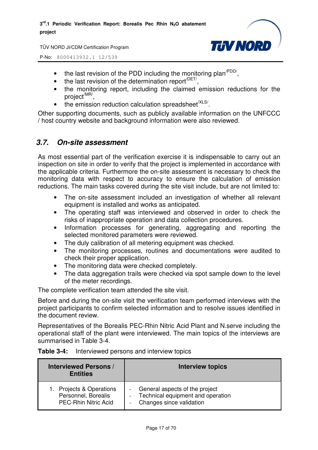

P-No: 8000413932.1 12/539

- the last revision of the PDD including the monitoring plan<sup> $PDD/$ </sup>,
- $\bullet$  the last revision of the determination report<sup> $/$ DET/</sup>,
- the monitoring report, including the claimed emission reductions for the project<sup>/MR/</sup>,
- $\bullet$  the emission reduction calculation spreadsheet<sup>/XLS/</sup>.

Other supporting documents, such as publicly available information on the UNFCCC / host country website and background information were also reviewed.

## *3.7. On-site assessment*

As most essential part of the verification exercise it is indispensable to carry out an inspection on site in order to verify that the project is implemented in accordance with the applicable criteria. Furthermore the on-site assessment is necessary to check the monitoring data with respect to accuracy to ensure the calculation of emission reductions. The main tasks covered during the site visit include, but are not limited to:

- The on-site assessment included an investigation of whether all relevant equipment is installed and works as anticipated.
- The operating staff was interviewed and observed in order to check the risks of inappropriate operation and data collection procedures.
- Information processes for generating, aggregating and reporting the selected monitored parameters were reviewed.
- The duly calibration of all metering equipment was checked.
- The monitoring processes, routines and documentations were audited to check their proper application.
- The monitoring data were checked completely.
- The data aggregation trails were checked via spot sample down to the level of the meter recordings.

The complete verification team attended the site visit.

Before and during the on-site visit the verification team performed interviews with the project participants to confirm selected information and to resolve issues identified in the document review.

Representatives of the Borealis PEC-Rhin Nitric Acid Plant and N.serve including the operational staff of the plant were interviewed. The main topics of the interviews are summarised in Table 3-4.

| <b>Interviewed Persons /</b><br><b>Entities</b>                             | <b>Interview topics</b>                                                                                                     |
|-----------------------------------------------------------------------------|-----------------------------------------------------------------------------------------------------------------------------|
| Projects & Operations<br>Personnel, Borealis<br><b>PEC-Rhin Nitric Acid</b> | General aspects of the project<br>Technical equipment and operation<br>$\overline{\phantom{0}}$<br>Changes since validation |

#### **Table 3-4:** Interviewed persons and interview topics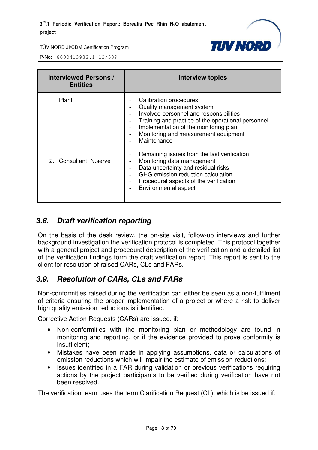

P-No: 8000413932.1 12/539

| <b>Interviewed Persons /</b><br><b>Entities</b> | <b>Interview topics</b>                                                                                                                                                                                                                                                                                                                                                                                                                                                                                                                                                                                                                                                       |
|-------------------------------------------------|-------------------------------------------------------------------------------------------------------------------------------------------------------------------------------------------------------------------------------------------------------------------------------------------------------------------------------------------------------------------------------------------------------------------------------------------------------------------------------------------------------------------------------------------------------------------------------------------------------------------------------------------------------------------------------|
| Plant<br>2. Consultant, N.serve                 | Calibration procedures<br>Quality management system<br>$\overline{\phantom{a}}$<br>Involved personnel and responsibilities<br>$\overline{\phantom{0}}$<br>Training and practice of the operational personnel<br>Implementation of the monitoring plan<br>Monitoring and measurement equipment<br>$\overline{\phantom{0}}$<br>Maintenance<br>Remaining issues from the last verification<br>$\overline{\phantom{a}}$<br>Monitoring data management<br>Data uncertainty and residual risks<br>$\qquad \qquad -$<br>GHG emission reduction calculation<br>$\overline{\phantom{0}}$<br>Procedural aspects of the verification<br>$\overline{\phantom{a}}$<br>Environmental aspect |

## *3.8. Draft verification reporting*

On the basis of the desk review, the on-site visit, follow-up interviews and further background investigation the verification protocol is completed. This protocol together with a general project and procedural description of the verification and a detailed list of the verification findings form the draft verification report. This report is sent to the client for resolution of raised CARs, CLs and FARs.

## *3.9. Resolution of CARs, CLs and FARs*

Non-conformities raised during the verification can either be seen as a non-fulfilment of criteria ensuring the proper implementation of a project or where a risk to deliver high quality emission reductions is identified.

Corrective Action Requests (CARs) are issued, if:

- Non-conformities with the monitoring plan or methodology are found in monitoring and reporting, or if the evidence provided to prove conformity is insufficient;
- Mistakes have been made in applying assumptions, data or calculations of emission reductions which will impair the estimate of emission reductions;
- Issues identified in a FAR during validation or previous verifications requiring actions by the project participants to be verified during verification have not been resolved.

The verification team uses the term Clarification Request (CL), which is be issued if: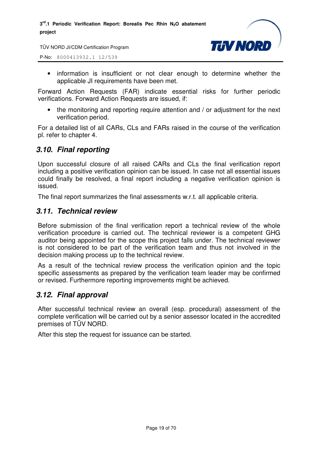

P-No: 8000413932.1 12/539

• information is insufficient or not clear enough to determine whether the applicable JI requirements have been met.

Forward Action Requests (FAR) indicate essential risks for further periodic verifications. Forward Action Requests are issued, if:

• the monitoring and reporting require attention and / or adjustment for the next verification period.

For a detailed list of all CARs, CLs and FARs raised in the course of the verification pl. refer to chapter 4.

## *3.10. Final reporting*

Upon successful closure of all raised CARs and CLs the final verification report including a positive verification opinion can be issued. In case not all essential issues could finally be resolved, a final report including a negative verification opinion is issued.

The final report summarizes the final assessments w.r.t. all applicable criteria.

## *3.11. Technical review*

Before submission of the final verification report a technical review of the whole verification procedure is carried out. The technical reviewer is a competent GHG auditor being appointed for the scope this project falls under. The technical reviewer is not considered to be part of the verification team and thus not involved in the decision making process up to the technical review.

As a result of the technical review process the verification opinion and the topic specific assessments as prepared by the verification team leader may be confirmed or revised. Furthermore reporting improvements might be achieved.

## *3.12. Final approval*

After successful technical review an overall (esp. procedural) assessment of the complete verification will be carried out by a senior assessor located in the accredited premises of TÜV NORD.

After this step the request for issuance can be started.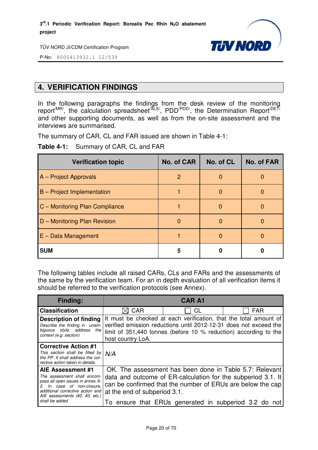

P-No: 8000413932.1 12/539

## **4. VERIFICATION FINDINGS**

In the following paragraphs the findings from the desk review of the monitoring report<sup>/MR/</sup>, the calculation spreadsheet<sup>/XLS/</sup>, PDD<sup>/PDD/</sup>, the Determination Report<sup>/DET/</sup> and other supporting documents, as well as from the on-site assessment and the interviews are summarised.

The summary of CAR, CL and FAR issued are shown in Table 4-1:

**Table 4-1:** Summary of CAR, CL and FAR

| <b>Verification topic</b>         | <b>No. of CAR</b> | No. of CL | No. of FAR |
|-----------------------------------|-------------------|-----------|------------|
| A - Project Approvals             | 2                 | O         |            |
| <b>B</b> – Project Implementation |                   | O         |            |
| C - Monitoring Plan Compliance    |                   | O         |            |
| D - Monitoring Plan Revision      | $\Omega$          | O         |            |
| $E - Data Management$             |                   | O         |            |
| <b>SUM</b>                        | 5                 |           |            |

The following tables include all raised CARs, CLs and FARs and the assessments of the same by the verification team. For an in depth evaluation of all verification items it should be referred to the verification protocols (see Annex).

| <b>Finding:</b>                                                                                                                                                                                                |                                                                                                                                                                                                                                 | <b>CAR A1</b>                                         |                                                                                                                                                                                       |
|----------------------------------------------------------------------------------------------------------------------------------------------------------------------------------------------------------------|---------------------------------------------------------------------------------------------------------------------------------------------------------------------------------------------------------------------------------|-------------------------------------------------------|---------------------------------------------------------------------------------------------------------------------------------------------------------------------------------------|
| <b>Classification</b>                                                                                                                                                                                          | <b>CAR</b>                                                                                                                                                                                                                      | СL                                                    | <b>FAR</b>                                                                                                                                                                            |
| <b>Description of finding</b><br>Describe the finding in unam-<br>biguous style; address<br>the<br>context (e.g. section)                                                                                      | It must be checked at each verification, that the total amount of<br>verified emission reductions until 2012-12-31 does not exceed the<br>limit of 351,440 tonnes (before 10 % reduction) according to the<br>host country LoA. |                                                       |                                                                                                                                                                                       |
| <b>Corrective Action #1</b><br>This section shall be filled by $N/A$<br>the PP. It shall address the cor-<br>rective action taken in details.                                                                  |                                                                                                                                                                                                                                 |                                                       |                                                                                                                                                                                       |
| AIE Assessment #1<br>The assessment shall encom-<br>pass all open issues in annex A-<br>In case of non-closure,<br>2.<br>additional corrective action and<br>AIE assessments (#2, #3, etc.)<br>shall be added. | at the end of subperiod 3.1.                                                                                                                                                                                                    | To ensure that ERUs generated in subperiod 3.2 do not | OK. The assessment has been done in Table 5.7: Relevant<br>data and outcome of ER-calculation for the subperiod 3.1. It<br>can be confirmed that the number of ERUs are below the cap |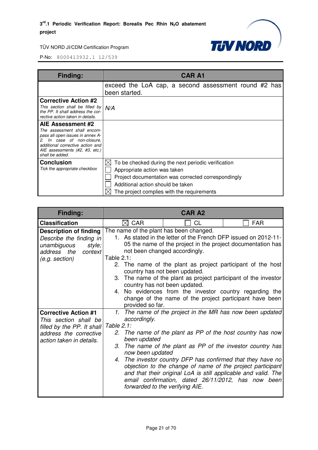

| Finding:                                                                                                                                                                                                    | <b>CAR A1</b>                                                                                                                                                                                                                       |
|-------------------------------------------------------------------------------------------------------------------------------------------------------------------------------------------------------------|-------------------------------------------------------------------------------------------------------------------------------------------------------------------------------------------------------------------------------------|
|                                                                                                                                                                                                             | exceed the LoA cap, a second assessment round #2 has<br>been started.                                                                                                                                                               |
| <b>Corrective Action #2</b><br>This section shall be filled by<br>the PP. It shall address the cor-<br>rective action taken in details.                                                                     | N/A                                                                                                                                                                                                                                 |
| AIE Assessment #2<br>The assessment shall encom-<br>pass all open issues in annex A-<br>2. In case of non-closure,<br>additional corrective action and<br>AIE assessments (#2, #3, etc.)<br>shall be added. |                                                                                                                                                                                                                                     |
| <b>Conclusion</b><br>Tick the appropriate checkbox                                                                                                                                                          | IХ<br>To be checked during the next periodic verification<br>Appropriate action was taken<br>Project documentation was corrected correspondingly<br>Additional action should be taken<br>The project complies with the requirements |

| Finding:                                                                                                                                 | <b>CAR A2</b>                                                                                                                                                                                                                                                                                                                                                                                                                                                                                                                                                             |  |  |
|------------------------------------------------------------------------------------------------------------------------------------------|---------------------------------------------------------------------------------------------------------------------------------------------------------------------------------------------------------------------------------------------------------------------------------------------------------------------------------------------------------------------------------------------------------------------------------------------------------------------------------------------------------------------------------------------------------------------------|--|--|
| <b>Classification</b>                                                                                                                    | $\boxtimes$ CAR<br><b>FAR</b><br>CL                                                                                                                                                                                                                                                                                                                                                                                                                                                                                                                                       |  |  |
| <b>Description of finding</b><br>Describe the finding in<br>unambiguous<br>style;<br>address the<br>context<br>(e.g. section)            | The name of the plant has been changed.<br>1. As stated in the letter of the French DFP issued on 2012-11-<br>05 the name of the project in the project documentation has<br>not been changed accordingly.<br>Table $2.1$ :<br>2. The name of the plant as project participant of the host<br>country has not been updated.<br>3. The name of the plant as project participant of the investor<br>country has not been updated.<br>4. No evidences from the investor country regarding the<br>change of the name of the project participant have been<br>provided so far. |  |  |
| <b>Corrective Action #1</b><br>This section shall be<br>filled by the PP. It shall<br>address the corrective<br>action taken in details. | 1. The name of the project in the MR has now been updated<br>accordingly.<br>Table 2.1:<br>2. The name of the plant as PP of the host country has now<br>been updated<br>The name of the plant as PP of the investor country has<br>3.<br>now been updated<br>4. The investor country DFP has confirmed that they have no<br>objection to the change of name of the project participant<br>and that their original LoA is still applicable and valid. The<br>email confirmation, dated 26/11/2012, has now been<br>forwarded to the verifying AIE.                        |  |  |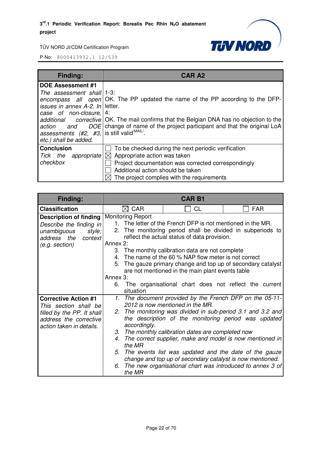

| <b>Finding:</b>                                                                                                                                                                                    | <b>CAR A2</b>                                                                                                                                                                                                                                                              |
|----------------------------------------------------------------------------------------------------------------------------------------------------------------------------------------------------|----------------------------------------------------------------------------------------------------------------------------------------------------------------------------------------------------------------------------------------------------------------------------|
| <b>DOE Assessment #1</b><br>The assessment shall 1-3:<br><i>issues in annex A-2. In</i> letter.<br>case of non-closure, $ 4$ :<br>assessments $(\#2, \#3,  \text{is still valid}^{\text{MAIL}})$ . | encompass all open $OK$ . The PP updated the name of the PP according to the DFP-<br><i>additional corrective</i> OK. The mail confirms that the Belgian DNA has no objection to the<br>action and DOE change of name of the project participant and that the original LoA |
| etc.) shall be added.<br><b>Conclusion</b><br>Tick the appropriate<br>checkbox                                                                                                                     | To be checked during the next periodic verification<br>$\boxtimes$ Appropriate action was taken<br>Project documentation was corrected correspondingly<br>Additional action should be taken<br>The project complies with the requirements                                  |

| <b>Finding:</b>                                                                                                                          | <b>CAR B1</b>                                                                        |                                                                                                                                                                                                                                                                                                                                                                                                                                                                                                                    |            |
|------------------------------------------------------------------------------------------------------------------------------------------|--------------------------------------------------------------------------------------|--------------------------------------------------------------------------------------------------------------------------------------------------------------------------------------------------------------------------------------------------------------------------------------------------------------------------------------------------------------------------------------------------------------------------------------------------------------------------------------------------------------------|------------|
| <b>Classification</b>                                                                                                                    | $\boxtimes$ CAR                                                                      | <b>CL</b>                                                                                                                                                                                                                                                                                                                                                                                                                                                                                                          | <b>FAR</b> |
| <b>Description of finding</b><br>Describe the finding in<br>unambiguous<br>style;<br>address the<br>context<br>(e.g. section)            | <b>Monitoring Report</b><br>Annex 2:<br>4.<br>Annex 3:<br>6.<br>situation            | 1. The letter of the French DFP is not mentioned in the MR.<br>2. The monitoring period shall be divided in subperiods to<br>reflect the actual status of data provision.<br>3. The monthly calibration data are not complete<br>The name of the 60 % NAP flow meter is not correct<br>5. The gauze primary change and top up of secondary catalyst<br>are not mentioned in the main plant events table<br>The organisational chart does not reflect the current                                                   |            |
| <b>Corrective Action #1</b><br>This section shall be<br>filled by the PP. It shall<br>address the corrective<br>action taken in details. | $\mathcal{I}$ .<br>accordingly.<br>3.<br>$4_{\cdot}$<br>the MR<br>5.<br>6.<br>the MR | The document provided by the French DFP on the 05-11-<br>2012 is now mentioned in the MR.<br>2. The monitoring was divided in sub-period 3.1 and 3.2 and<br>the description of the monitoring period was updated<br>The monthly calibration dates are completed now<br>The correct supplier, make and model is now mentioned in<br>The events list was updated and the date of the gauze<br>change and top up of secondary catalyst is now mentioned.<br>The new organisational chart was introduced to annex 3 of |            |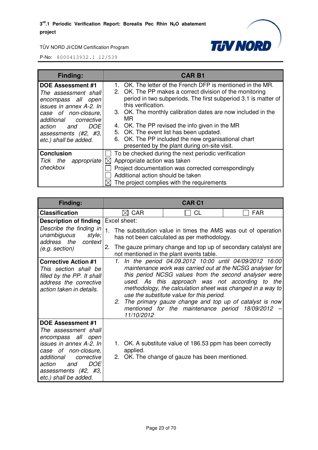

| Finding:                                                                                                                                                                                                                       | <b>CAR B1</b>                                                                                                                                                                                                                                                                                                                                                                                                                                                                                 |
|--------------------------------------------------------------------------------------------------------------------------------------------------------------------------------------------------------------------------------|-----------------------------------------------------------------------------------------------------------------------------------------------------------------------------------------------------------------------------------------------------------------------------------------------------------------------------------------------------------------------------------------------------------------------------------------------------------------------------------------------|
| <b>DOE Assessment #1</b><br>The assessment shall<br>encompass all open<br>issues in annex A-2. In<br>case of non-closure.<br>corrective<br>additional<br>DOE<br>action<br>and<br>assessments (#2, #3,<br>etc.) shall be added. | 1. OK. The letter of the French DFP is mentioned in the MR.<br>2. OK. The PP makes a correct division of the monitoring<br>period in two subperiods. The first subperiod 3.1 is matter of<br>this verification.<br>3. OK. The monthly calibration dates are now included in the<br>MR.<br>OK. The PP revised the info given in the MR<br>4.<br>5. OK. The event list has been updated.<br>6. OK. The PP included the new organisational chart<br>presented by the plant during on-site visit. |
| <b>Conclusion</b><br>appropriate<br>Tick the<br>checkbox                                                                                                                                                                       | To be checked during the next periodic verification<br>Appropriate action was taken<br>$\bowtie$<br>Project documentation was corrected correspondingly<br>Additional action should be taken<br>The project complies with the requirements                                                                                                                                                                                                                                                    |

| Finding:                                                                                                                                                                                                                              | <b>CAR C1</b>                                                                                                   |                                                                                                                                                                                                                                                                                                                                                                                                                                                              |            |  |
|---------------------------------------------------------------------------------------------------------------------------------------------------------------------------------------------------------------------------------------|-----------------------------------------------------------------------------------------------------------------|--------------------------------------------------------------------------------------------------------------------------------------------------------------------------------------------------------------------------------------------------------------------------------------------------------------------------------------------------------------------------------------------------------------------------------------------------------------|------------|--|
| <b>Classification</b>                                                                                                                                                                                                                 | <b>CAR</b>                                                                                                      | <b>CL</b>                                                                                                                                                                                                                                                                                                                                                                                                                                                    | <b>FAR</b> |  |
| <b>Description of finding</b><br>Describe the finding in                                                                                                                                                                              | Excel sheet:<br>1.                                                                                              |                                                                                                                                                                                                                                                                                                                                                                                                                                                              |            |  |
| unambiguous style;<br>address the context                                                                                                                                                                                             | The substitution value in times the AMS was out of operation<br>has not been calculated as per methodology.     |                                                                                                                                                                                                                                                                                                                                                                                                                                                              |            |  |
| (e.g. section)                                                                                                                                                                                                                        | 2.<br>The gauze primary change and top up of secondary catalyst are<br>not mentioned in the plant events table. |                                                                                                                                                                                                                                                                                                                                                                                                                                                              |            |  |
| <b>Corrective Action #1</b><br>This section shall be<br>filled by the PP. It shall<br>address the corrective<br>action taken in details.                                                                                              | 11/10/2012                                                                                                      | 1. In the period 04.09.2012 10:00 until 04/09/2012 16:00<br>maintenance work was carried out at the NCSG analyser for<br>this period NCSG values from the second analyser were<br>used. As this approach was not according to the<br>methodology, the calculation sheet was changed in a way to<br>use the substitute value for this period.<br>2. The primary gauze change and top up of catalyst is now<br>mentioned for the maintenance period 18/09/2012 |            |  |
| <b>DOE Assessment #1</b><br>The assessment shall<br>encompass all open<br>issues in annex A-2. In<br>case of non-closure,<br>additional<br>corrective<br><b>DOE</b><br>action<br>and<br>assessments (#2, #3,<br>etc.) shall be added. | applied.                                                                                                        | 1. OK. A substitute value of 186.53 ppm has been correctly<br>2. OK. The change of gauze has been mentioned.                                                                                                                                                                                                                                                                                                                                                 |            |  |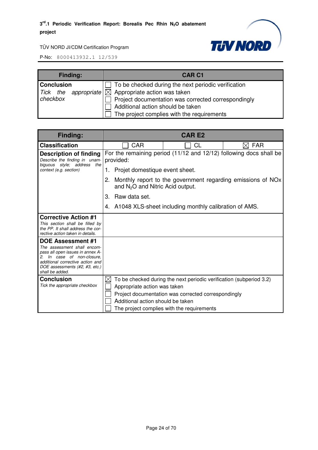#### **3 rd.1 Periodic Verification Report: Borealis Pec Rhin N2O abatement project**



TÜV NORD JI/CDM Certification Program

| <b>Finding:</b>                           | <b>CAR C1</b>                                                                                                                                                                                                                                                |
|-------------------------------------------|--------------------------------------------------------------------------------------------------------------------------------------------------------------------------------------------------------------------------------------------------------------|
| <b>Conclusion</b><br>Tick the<br>checkbox | $\Box$ To be checked during the next periodic verification<br>appropriate $\boxtimes$ Appropriate action was taken<br>Project documentation was corrected correspondingly<br>Additional action should be taken<br>The project complies with the requirements |

| Finding:                                                                                                                                                                                                              | CAR E2                                                                                                  |                                                                                                                                                                          |            |  |
|-----------------------------------------------------------------------------------------------------------------------------------------------------------------------------------------------------------------------|---------------------------------------------------------------------------------------------------------|--------------------------------------------------------------------------------------------------------------------------------------------------------------------------|------------|--|
| <b>Classification</b>                                                                                                                                                                                                 | CAR                                                                                                     | CL                                                                                                                                                                       | <b>FAR</b> |  |
| <b>Description of finding</b><br>Describe the finding in unam-<br>biguous style: address the                                                                                                                          | For the remaining period (11/12 and 12/12) following docs shall be<br>provided:                         |                                                                                                                                                                          |            |  |
| context (e.g. section)                                                                                                                                                                                                | Projet domestique event sheet.<br>1.                                                                    |                                                                                                                                                                          |            |  |
|                                                                                                                                                                                                                       | Monthly report to the government regarding emissions of NOx<br>2.<br>and $N_2O$ and Nitric Acid output. |                                                                                                                                                                          |            |  |
|                                                                                                                                                                                                                       | 3.<br>Raw data set.                                                                                     |                                                                                                                                                                          |            |  |
|                                                                                                                                                                                                                       |                                                                                                         | 4. A1048 XLS-sheet including monthly calibration of AMS.                                                                                                                 |            |  |
| <b>Corrective Action #1</b><br>This section shall be filled by<br>the PP. It shall address the cor-<br>rective action taken in details.                                                                               |                                                                                                         |                                                                                                                                                                          |            |  |
| <b>DOE Assessment #1</b><br>The assessment shall encom-<br>pass all open issues in annex A-<br>In case of non-closure.<br>2.<br>additional corrective action and<br>DOE assessments (#2, #3, etc.)<br>shall be added. |                                                                                                         |                                                                                                                                                                          |            |  |
| <b>Conclusion</b><br>Tick the appropriate checkbox                                                                                                                                                                    | Appropriate action was taken<br>Additional action should be taken                                       | To be checked during the next periodic verification (subperiod 3.2)<br>Project documentation was corrected correspondingly<br>The project complies with the requirements |            |  |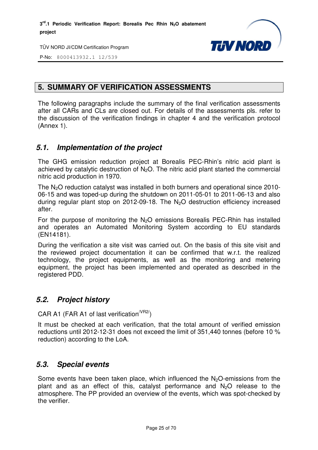

P-No: 8000413932.1 12/539

## **5. SUMMARY OF VERIFICATION ASSESSMENTS**

The following paragraphs include the summary of the final verification assessments after all CARs and CLs are closed out. For details of the assessments pls. refer to the discussion of the verification findings in chapter 4 and the verification protocol (Annex 1).

## *5.1. Implementation of the project*

The GHG emission reduction project at Borealis PEC-Rhin's nitric acid plant is achieved by catalytic destruction of  $N<sub>2</sub>O$ . The nitric acid plant started the commercial nitric acid production in 1970.

The  $N_2O$  reduction catalyst was installed in both burners and operational since 2010-06-15 and was toped-up during the shutdown on 2011-05-01 to 2011-06-13 and also during regular plant stop on 2012-09-18. The N2O destruction efficiency increased after.

For the purpose of monitoring the  $N_2O$  emissions Borealis PEC-Rhin has installed and operates an Automated Monitoring System according to EU standards (EN14181).

During the verification a site visit was carried out. On the basis of this site visit and the reviewed project documentation it can be confirmed that w.r.t. the realized technology, the project equipments, as well as the monitoring and metering equipment, the project has been implemented and operated as described in the registered PDD.

## *5.2. Project history*

CAR A1 (FAR A1 of last verification $V_{R2}$ )

It must be checked at each verification, that the total amount of verified emission reductions until 2012-12-31 does not exceed the limit of 351,440 tonnes (before 10 % reduction) according to the LoA.

## *5.3. Special events*

Some events have been taken place, which influenced the  $N<sub>2</sub>O$ -emissions from the plant and as an effect of this, catalyst performance and  $N_2O$  release to the atmosphere. The PP provided an overview of the events, which was spot-checked by the verifier.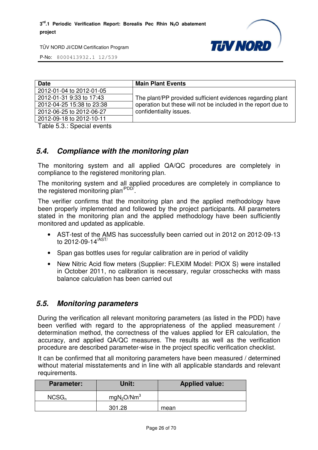

P-No: 8000413932.1 12/539

| <b>Date</b>               | <b>Main Plant Events</b>                                      |
|---------------------------|---------------------------------------------------------------|
| 2012-01-04 to 2012-01-05  |                                                               |
| 2012-01-31 9:33 to 17:43  | The plant/PP provided sufficient evidences regarding plant    |
| 2012-04-25 15:38 to 23:38 | operation but these will not be included in the report due to |
| 2012-06-25 to 2012-06-27  | confidentiality issues.                                       |
| 2012-09-18 to 2012-10-11  |                                                               |

Table 5.3.: Special events

## *5.4. Compliance with the monitoring plan*

The monitoring system and all applied QA/QC procedures are completely in compliance to the registered monitoring plan.

The monitoring system and all applied procedures are completely in compliance to the registered monitoring plan<sup>/PDD/</sup>.

The verifier confirms that the monitoring plan and the applied methodology have been properly implemented and followed by the project participants. All parameters stated in the monitoring plan and the applied methodology have been sufficiently monitored and updated as applicable.

- AST-test of the AMS has successfully been carried out in 2012 on 2012-09-13 to 2012-09-14/AST/
- Span gas bottles uses for regular calibration are in period of validity
- New Nitric Acid flow meters (Supplier: FLEXIM Model: PIOX S) were installed in October 2011, no calibration is necessary, regular crosschecks with mass balance calculation has been carried out

## *5.5. Monitoring parameters*

During the verification all relevant monitoring parameters (as listed in the PDD) have been verified with regard to the appropriateness of the applied measurement / determination method, the correctness of the values applied for ER calculation, the accuracy, and applied QA/QC measures. The results as well as the verification procedure are described parameter-wise in the project specific verification checklist.

It can be confirmed that all monitoring parameters have been measured / determined without material misstatements and in line with all applicable standards and relevant requirements.

| <b>Parameter:</b> | Unit:                              | <b>Applied value:</b> |
|-------------------|------------------------------------|-----------------------|
| $NCSG_n$          | mgN <sub>2</sub> O/Nm <sup>3</sup> |                       |
|                   | 301.28                             | mean                  |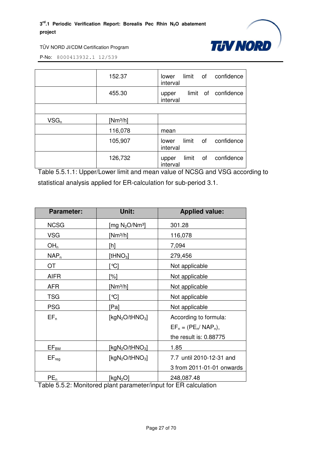

P-No: 8000413932.1 12/539

|         | 152.37     | limit of<br>confidence<br>lower<br>interval    |
|---------|------------|------------------------------------------------|
|         | 455.30     | confidence<br>limit of<br>upper<br>interval    |
|         |            |                                                |
| $VSG_n$ | $[Nm^3/h]$ |                                                |
|         | 116,078    | mean                                           |
|         | 105,907    | limit<br>confidence<br>οf<br>lower<br>interval |
|         | 126,732    | confidence<br>limit<br>of<br>upper<br>interval |

Table 5.5.1.1: Upper/Lower limit and mean value of NCSG and VSG according to statistical analysis applied for ER-calculation for sub-period 3.1.

| <b>Parameter:</b> | Unit:                                   | <b>Applied value:</b>     |
|-------------------|-----------------------------------------|---------------------------|
| <b>NCSG</b>       | [mg $N_2O/Nm^3$ ]                       | 301.28                    |
| <b>VSG</b>        | $[Nm^3/h]$                              | 116,078                   |
| OH <sub>n</sub>   | [h]                                     | 7,094                     |
| $NAP_n$           | [t $HNO3$ ]                             | 279,456                   |
| OT                | `℃]                                     | Not applicable            |
| <b>AIFR</b>       | [%]                                     | Not applicable            |
| <b>AFR</b>        | $[Nm^3/h]$                              | Not applicable            |
| <b>TSG</b>        | `℃]                                     | Not applicable            |
| <b>PSG</b>        | [Pa]                                    | Not applicable            |
| $EF_n$            | [kgN <sub>2</sub> O/tHNO <sub>3</sub> ] | According to formula:     |
|                   |                                         | $EF_n = (PE_n/ NAP_n),$   |
|                   |                                         | the result is: 0.88775    |
| $EF_{BM}$         | [kgN <sub>2</sub> O/tHNO <sub>3</sub> ] | 1.85                      |
| $EF_{req}$        | [kgN <sub>2</sub> O/tHNO <sub>3</sub> ] | 7.7 until 2010-12-31 and  |
|                   |                                         | 3 from 2011-01-01 onwards |
| PE <sub>n</sub>   | [kg $N_2O$ ]                            | 248,087.48                |

Table 5.5.2: Monitored plant parameter/input for ER calculation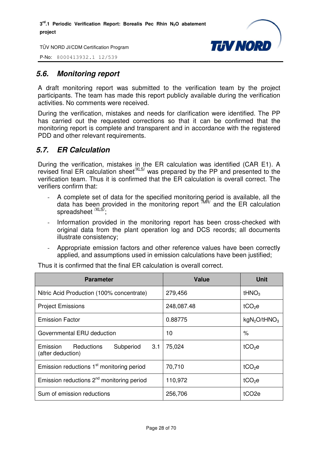

P-No: 8000413932.1 12/539

## *5.6. Monitoring report*

A draft monitoring report was submitted to the verification team by the project participants. The team has made this report publicly available during the verification activities. No comments were received.

During the verification, mistakes and needs for clarification were identified. The PP has carried out the requested corrections so that it can be confirmed that the monitoring report is complete and transparent and in accordance with the registered PDD and other relevant requirements.

## *5.7. ER Calculation*

During the verification, mistakes in the ER calculation was identified (CAR E1). A revised final ER calculation sheet<sup>/XLS/</sup> was prepared by the PP and presented to the verification team. Thus it is confirmed that the ER calculation is overall correct. The verifiers confirm that:

- A complete set of data for the specified monitoring period is available, all the data has been provided in the monitoring report  $^{7MR}$  and the ER calculation spreadsheet <sup>/XLS/</sup>;
- Information provided in the monitoring report has been cross-checked with original data from the plant operation log and DCS records; all documents illustrate consistency;
- Appropriate emission factors and other reference values have been correctly applied, and assumptions used in emission calculations have been justified;

| <b>Parameter</b>                                             | <b>Value</b> | <b>Unit</b>                          |
|--------------------------------------------------------------|--------------|--------------------------------------|
| Nitric Acid Production (100% concentrate)                    | 279,456      | tHNO <sub>3</sub>                    |
| <b>Project Emissions</b>                                     | 248,087.48   | tCO <sub>2</sub> e                   |
| <b>Emission Factor</b>                                       | 0.88775      | kgN <sub>2</sub> O/tHNO <sub>3</sub> |
| Governmental ERU deduction                                   | 10           | %                                    |
| Emission Reductions<br>Subperiod<br>3.1<br>(after deduction) | 75,024       | $tCO2$ e                             |
| Emission reductions 1 <sup>st</sup> monitoring period        | 70,710       | $tCO2$ e                             |
| Emission reductions $2^{nd}$ monitoring period               | 110,972      | $tCO2$ e                             |
| Sum of emission reductions                                   | 256,706      | tCO <sub>2e</sub>                    |

Thus it is confirmed that the final ER calculation is overall correct.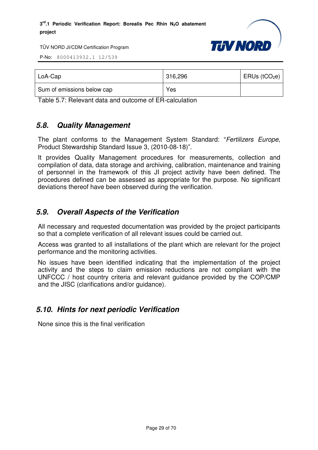

P-No: 8000413932.1 12/539

| LoA-Cap                    | 316,296 | $ERUs$ (tCO <sub>2</sub> e) |
|----------------------------|---------|-----------------------------|
| Sum of emissions below cap | Yes     |                             |

Table 5.7: Relevant data and outcome of ER-calculation

## *5.8. Quality Management*

The plant conforms to the Management System Standard: "Fertilizers Europe, Product Stewardship Standard Issue 3, (2010-08-18)".

It provides Quality Management procedures for measurements, collection and compilation of data, data storage and archiving, calibration, maintenance and training of personnel in the framework of this JI project activity have been defined. The procedures defined can be assessed as appropriate for the purpose. No significant deviations thereof have been observed during the verification.

## *5.9. Overall Aspects of the Verification*

All necessary and requested documentation was provided by the project participants so that a complete verification of all relevant issues could be carried out.

Access was granted to all installations of the plant which are relevant for the project performance and the monitoring activities.

No issues have been identified indicating that the implementation of the project activity and the steps to claim emission reductions are not compliant with the UNFCCC / host country criteria and relevant guidance provided by the COP/CMP and the JISC (clarifications and/or guidance).

## *5.10. Hints for next periodic Verification*

None since this is the final verification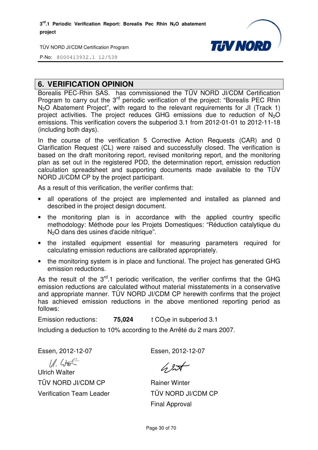

P-No: 8000413932.1 12/539

## **6. VERIFICATION OPINION**

Borealis PEC-Rhin SAS. has commissioned the TÜV NORD JI/CDM Certification Program to carry out the 3<sup>rd</sup> periodic verification of the project: "Borealis PEC Rhin N2O Abatement Project", with regard to the relevant requirements for JI (Track 1) project activities. The project reduces GHG emissions due to reduction of N <sup>2</sup>O emissions. This verification covers the subperiod 3.1 from 2012-01-01 to 2012-11-18 (including both days).

In the course of the verification 5 Corrective Action Requests (CAR) and 0 Clarification Request (CL) were raised and successfully closed. The verification is based on the draft monitoring report, revised monitoring report, and the monitoring plan as set out in the registered PDD, the determination report, emission reduction calculation spreadsheet and supporting documents made available to the TÜV NORD JI/CDM CP by the project participant.

As a result of this verification, the verifier confirms that:

- all operations of the project are implemented and installed as planned and described in the project design document.
- the monitoring plan is in accordance with the applied country specific methodology: Méthode pour les Projets Domestiques: "Réduction catalytique du N<sub>2</sub>O dans des usines d'acide nitrique". culation spreadsheet and supporting documents made available to the TÜV<br>RD JI/CDM CP by the project participant.<br>a result of this verification, the verifier confirms that:<br>all operations of the project are implemented and
- the installed equipment essential for measuring parameters required for calculating emission reductions are calibrated appropriately.
- the monitoring system is in place and functional. The project has generated GHG emission reductions.

As the result of the  $3<sup>rd</sup>$ .1 periodic verification, the verifier confirms that the GHG emission reductions are calculated without material misstatements in a conservative and appropriate manner. TÜV NORD JI/CDM CP herewith confirms that the project has achieved emission reductions in the above mentioned reporting period as follows:

Emission reductions: **75,024** t CO<sub>2</sub>e in subperiod 3.1

Including a deduction to 10% according to the Arrêté du 2 mars 2007. 0% Essen, 2012-12-07

Essen, 2012-12-07

 $11.475$ 

Ulrich Walter TÜV NORD JI/CDM CP Verification Team Leader

 $62$ 

Rainer Winter TÜV NORD JI/CDM CP Final Approval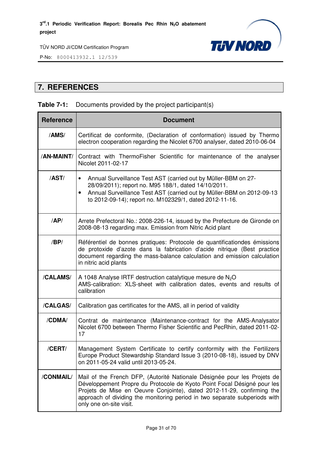

P-No: 8000413932.1 12/539

## **7. REFERENCES**

## **Table 7-1:** Documents provided by the project participant(s)

| <b>Reference</b> | <b>Document</b>                                                                                                                                                                                                                                                                                                                        |  |  |  |  |
|------------------|----------------------------------------------------------------------------------------------------------------------------------------------------------------------------------------------------------------------------------------------------------------------------------------------------------------------------------------|--|--|--|--|
| /AMS/            | Certificat de conformite, (Declaration of conformation) issued by Thermo<br>electron cooperation regarding the Nicolet 6700 analyser, dated 2010-06-04                                                                                                                                                                                 |  |  |  |  |
| /AN-MAINT/       | Contract with ThermoFisher Scientific for maintenance of the analyser<br>Nicolet 2011-02-17                                                                                                                                                                                                                                            |  |  |  |  |
| /AST/            | Annual Surveillance Test AST (carried out by Müller-BBM on 27-<br>$\bullet$<br>28/09/2011); report no. M95 188/1, dated 14/10/2011.<br>Annual Surveillance Test AST (carried out by Müller-BBM on 2012-09-13<br>$\bullet$<br>to 2012-09-14); report no. M102329/1, dated 2012-11-16.                                                   |  |  |  |  |
| AP/              | Arrete Prefectoral No.: 2008-226-14, issued by the Prefecture de Gironde on<br>2008-08-13 regarding max. Emission from Nitric Acid plant                                                                                                                                                                                               |  |  |  |  |
| /BP/             | Référentiel de bonnes pratiques: Protocole de quantificationdes émissions<br>de protoxide d'azote dans la fabrication d'acide nitrique (Best practice<br>document regarding the mass-balance calculation and emission calculation<br>in nitric acid plants                                                                             |  |  |  |  |
| /CALAMS/         | A 1048 Analyse IRTF destruction catalytique mesure de $N_2O$<br>AMS-calibration: XLS-sheet with calibration dates, events and results of<br>calibration                                                                                                                                                                                |  |  |  |  |
| /CALGAS/         | Calibration gas certificates for the AMS, all in period of validity                                                                                                                                                                                                                                                                    |  |  |  |  |
| /CDMA/           | Contrat de maintenance (Maintenance-contract for the AMS-Analysator<br>Nicolet 6700 between Thermo Fisher Scientific and PecRhin, dated 2011-02-<br>17                                                                                                                                                                                 |  |  |  |  |
| /CERT/           | Management System Certificate to certify conformity with the Fertilizers<br>Europe Product Stewardship Standard Issue 3 (2010-08-18), issued by DNV<br>on 2011-05-24 valid until 2013-05-24.                                                                                                                                           |  |  |  |  |
| /CONMAIL/        | Mail of the French DFP, (Autorité Nationale Désignée pour les Projets de<br>Développement Propre du Protocole de Kyoto Point Focal Désigné pour les<br>Projets de Mise en Oeuvre Conjointe), dated 2012-11-29, confirming the<br>approach of dividing the monitoring period in two separate subperiods with<br>only one on-site visit. |  |  |  |  |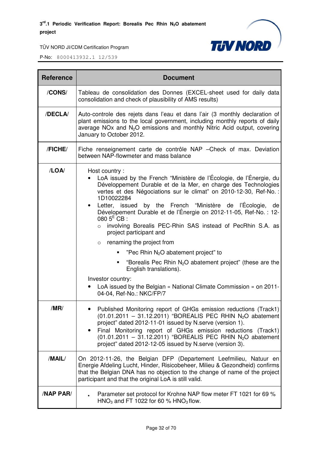

| <b>Reference</b> | <b>Document</b>                                                                                                                                                                                                                                                                                                                                                                                                                                                                                                                                                                                                                                                                                                                                                                                                                   |  |  |  |  |
|------------------|-----------------------------------------------------------------------------------------------------------------------------------------------------------------------------------------------------------------------------------------------------------------------------------------------------------------------------------------------------------------------------------------------------------------------------------------------------------------------------------------------------------------------------------------------------------------------------------------------------------------------------------------------------------------------------------------------------------------------------------------------------------------------------------------------------------------------------------|--|--|--|--|
| /CONS/           | Tableau de consolidation des Donnes (EXCEL-sheet used for daily data<br>consolidation and check of plausibility of AMS results)                                                                                                                                                                                                                                                                                                                                                                                                                                                                                                                                                                                                                                                                                                   |  |  |  |  |
| /DECLA/          | Auto-controle des rejets dans l'eau et dans l'air (3 monthly declaration of<br>plant emissions to the local government, including monthly reports of daily<br>average NOx and $N_2O$ emissions and monthly Nitric Acid output, covering<br>January to October 2012.                                                                                                                                                                                                                                                                                                                                                                                                                                                                                                                                                               |  |  |  |  |
| /FICHE/          | Fiche renseignement carte de contrôle NAP - Check of max. Deviation<br>between NAP-flowmeter and mass balance                                                                                                                                                                                                                                                                                                                                                                                                                                                                                                                                                                                                                                                                                                                     |  |  |  |  |
| /LOA/            | Host country:<br>LoA issued by the French "Ministère de l'Écologie, de l'Énergie, du<br>Développement Durable et de la Mer, en charge des Technologies<br>vertes et des Négociations sur le climat" on 2010-12-30, Ref-No. :<br>1D10022284<br>Letter, issued by the French "Ministère de l'Écologie,<br>de<br>$\bullet$<br>Dévelopement Durable et de l'Énergie on 2012-11-05, Ref-No. : 12-<br>$0805E$ CB :<br>involving Borealis PEC-Rhin SAS instead of PecRhin S.A. as<br>$\circ$<br>project participant and<br>$\circ$ renaming the project from<br>"Pec Rhin $N_2O$ abatement project" to<br>"Borealis Pec Rhin $N_2O$ abatement project" (these are the<br>$\blacksquare$<br>English translations).<br>Investor country:<br>LoA issued by the Belgian « National Climate Commission » on 2011-<br>04-04, Ref-No.: NKC/FP/7 |  |  |  |  |
| /MR/             | Published Monitoring report of GHGs emission reductions (Track1)<br>$(01.01.2011 - 31.12.2011)$ "BOREALIS PEC RHIN N <sub>2</sub> O abatement<br>project" dated 2012-11-01 issued by N.serve (version 1).<br>Final Monitoring report of GHGs emission reductions (Track1)<br>$(01.01.2011 - 31.12.2011)$ "BOREALIS PEC RHIN N <sub>2</sub> O abatement<br>project" dated 2012-12-05 issued by N.serve (version 3).                                                                                                                                                                                                                                                                                                                                                                                                                |  |  |  |  |
| /MAIL/           | On 2012-11-26, the Belgian DFP (Departement Leefmilieu, Natuur en<br>Energie Afdeling Lucht, Hinder, Risicobeheer, Milieu & Gezondheid) confirms<br>that the Belgian DNA has no objection to the change of name of the project<br>participant and that the original LoA is still valid.                                                                                                                                                                                                                                                                                                                                                                                                                                                                                                                                           |  |  |  |  |
| <b>/NAP PAR/</b> | Parameter set protocol for Krohne NAP flow meter FT 1021 for 69 %<br>HNO <sub>3</sub> and FT 1022 for 60 % HNO <sub>3</sub> flow.                                                                                                                                                                                                                                                                                                                                                                                                                                                                                                                                                                                                                                                                                                 |  |  |  |  |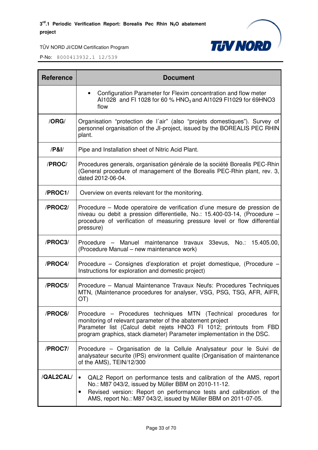

| <b>Reference</b> | <b>Document</b>                                                                                                                                                                                                                                                                |  |  |  |  |
|------------------|--------------------------------------------------------------------------------------------------------------------------------------------------------------------------------------------------------------------------------------------------------------------------------|--|--|--|--|
|                  | Configuration Parameter for Flexim concentration and flow meter<br>Al1028 and FI 1028 for 60 % HNO <sub>3</sub> and Al1029 FI1029 for 69HNO3<br>flow                                                                                                                           |  |  |  |  |
| /ORG/            | Organisation "protection de l'air" (also "projets domestiques"). Survey of<br>personnel organisation of the JI-project, issued by the BOREALIS PEC RHIN<br>plant.                                                                                                              |  |  |  |  |
| $/$ P&I $/$      | Pipe and Installation sheet of Nitric Acid Plant.                                                                                                                                                                                                                              |  |  |  |  |
| /PROC/           | Procedures generals, organisation générale de la société Borealis PEC-Rhin<br>(General procedure of management of the Borealis PEC-Rhin plant, rev. 3,<br>dated 2012-06-04.                                                                                                    |  |  |  |  |
| /PROC1/          | Overview on events relevant for the monitoring.                                                                                                                                                                                                                                |  |  |  |  |
| /PROC2/          | Procedure – Mode operatoire de verification d'une mesure de pression de<br>niveau ou debit a pression differentielle, No.: 15.400-03-14, (Procedure -<br>procedure of verification of measuring pressure level or flow differential<br>pressure)                               |  |  |  |  |
| /PROC3/          | Procedure - Manuel maintenance travaux 33evus, No.: 15.405.00,<br>(Procedure Manual – new maintenance work)                                                                                                                                                                    |  |  |  |  |
| /PROC4/          | Procedure – Consignes d'exploration et projet domestique, (Procedure -<br>Instructions for exploration and domestic project)                                                                                                                                                   |  |  |  |  |
| /PROC5/          | Procedure - Manual Maintenance Travaux Neufs: Procedures Techniques<br>MTN, (Maintenance procedures for analyser, VSG, PSG, TSG, AFR, AIFR,<br>OT)                                                                                                                             |  |  |  |  |
| /PROC6/          | Procedure – Procedures techniques MTN (Technical procedures for<br>monitoring of relevant parameter of the abatement project<br>Parameter list (Calcul debit rejets HNO3 FI 1012; printouts from FBD<br>program graphics, stack diameter) Parameter implementation in the DSC. |  |  |  |  |
| /PROC7/          | Procedure – Organisation de la Cellule Analysateur pour le Suivi de<br>analysateur securite (IPS) environment qualite (Organisation of maintenance<br>of the AMS), TEIN/12/300                                                                                                 |  |  |  |  |
| /QAL2CAL/        | QAL2 Report on performance tests and calibration of the AMS, report<br>No.: M87 043/2, issued by Müller BBM on 2010-11-12.<br>Revised version: Report on performance tests and calibration of the<br>AMS, report No.: M87 043/2, issued by Müller BBM on 2011-07-05.           |  |  |  |  |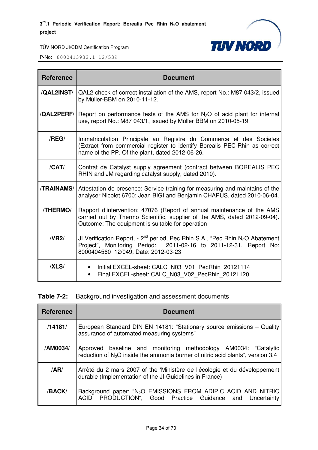

P-No: 8000413932.1 12/539

| <b>Reference</b>  | <b>Document</b>                                                                                                                                                                                            |  |  |  |
|-------------------|------------------------------------------------------------------------------------------------------------------------------------------------------------------------------------------------------------|--|--|--|
| /QAL2INST/        | QAL2 check of correct installation of the AMS, report No.: M87 043/2, issued<br>by Müller-BBM on 2010-11-12.                                                                                               |  |  |  |
| /QAL2PERF/        | Report on performance tests of the AMS for $N_2O$ of acid plant for internal<br>use, report No.: M87 043/1, issued by Müller BBM on 2010-05-19.                                                            |  |  |  |
| /REG/             | Immatriculation Principale au Registre du Commerce et des Societes<br>(Extract from commercial register to identify Borealis PEC-Rhin as correct<br>name of the PP. Of the plant, dated 2012-06-26.        |  |  |  |
| /CAT/             | Contrat de Catalyst supply agreement (contract between BOREALIS PEC<br>RHIN and JM regarding catalyst supply, dated 2010).                                                                                 |  |  |  |
| <b>/TRAINAMS/</b> | Attestation de presence: Service training for measuring and maintains of the<br>analyser Nicolet 6700: Jean BIGI and Benjamin CHAPUS, dated 2010-06-04.                                                    |  |  |  |
| /THERMO/          | Rapport d'intervention: 47076 (Report of annual maintenance of the AMS<br>carried out by Thermo Scientific, supplier of the AMS, dated 2012-09-04).<br>Outcome: The equipment is suitable for operation    |  |  |  |
| /VR2/             | JI Verification Report, - $2^{nd}$ period, Pec Rhin S.A., "Pec Rhin N <sub>2</sub> O Abatement<br>Project", Monitoring Period: 2011-02-16 to 2011-12-31, Report No:<br>8000404560 12/049, Date: 2012-03-23 |  |  |  |
| /XLS/             | Initial EXCEL-sheet: CALC N03 V01 PecRhin 20121114<br>Final EXCEL-sheet: CALC_N03_V02_PecRhin_20121120                                                                                                     |  |  |  |

**Table 7-2:** Background investigation and assessment documents

| <b>Reference</b> | <b>Document</b>                                                                                                                                      |  |  |  |  |  |
|------------------|------------------------------------------------------------------------------------------------------------------------------------------------------|--|--|--|--|--|
| /14181/          | European Standard DIN EN 14181: "Stationary source emissions - Quality<br>assurance of automated measuring systems"                                  |  |  |  |  |  |
| /AM0034/         | Approved baseline and monitoring methodology AM0034: "Catalytic<br>reduction of $N_2O$ inside the ammonia burner of nitric acid plants", version 3.4 |  |  |  |  |  |
| /AR/             | Arrêté du 2 mars 2007 of the 'Ministère de l'écologie et du développement<br>durable (Implementation of the JI-Guidelines in France)                 |  |  |  |  |  |
| /BACK/           | Background paper: "N <sub>2</sub> O EMISSIONS FROM ADIPIC ACID AND NITRIC<br>PRODUCTION", Good Practice Guidance and Uncertainty<br><b>ACID</b>      |  |  |  |  |  |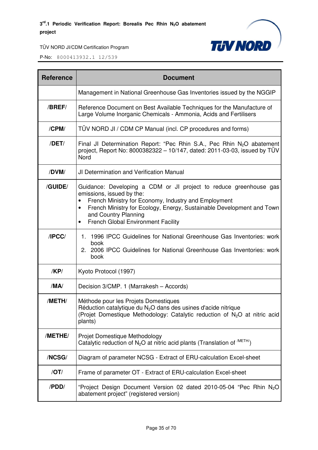

| <b>Reference</b> | <b>Document</b>                                                                                                                                                                                                                                                                                                                |  |  |  |
|------------------|--------------------------------------------------------------------------------------------------------------------------------------------------------------------------------------------------------------------------------------------------------------------------------------------------------------------------------|--|--|--|
|                  | Management in National Greenhouse Gas Inventories issued by the NGGIP                                                                                                                                                                                                                                                          |  |  |  |
| /BREF/           | Reference Document on Best Available Techniques for the Manufacture of<br>Large Volume Inorganic Chemicals - Ammonia, Acids and Fertilisers                                                                                                                                                                                    |  |  |  |
| /CPM/            | TÜV NORD JI / CDM CP Manual (incl. CP procedures and forms)                                                                                                                                                                                                                                                                    |  |  |  |
| /DET/            | Final JI Determination Report: "Pec Rhin S.A., Pec Rhin $N_2O$ abatement<br>project, Report No: 8000382322 - 10/147, dated: 2011-03-03, issued by TÜV<br>Nord                                                                                                                                                                  |  |  |  |
| /DVM/            | <b>JI Determination and Verification Manual</b>                                                                                                                                                                                                                                                                                |  |  |  |
| /GUIDE/          | Guidance: Developing a CDM or JI project to reduce greenhouse gas<br>emissions, issued by the:<br>French Ministry for Economy, Industry and Employment<br>French Ministry for Ecology, Energy, Sustainable Development and Town<br>$\bullet$<br>and Country Planning<br><b>French Global Environment Facility</b><br>$\bullet$ |  |  |  |
| IPCC/            | 1996 IPCC Guidelines for National Greenhouse Gas Inventories: work<br>1.<br>book<br>2. 2006 IPCC Guidelines for National Greenhouse Gas Inventories: work<br>book                                                                                                                                                              |  |  |  |
| /KP/             | Kyoto Protocol (1997)                                                                                                                                                                                                                                                                                                          |  |  |  |
| /MA/             | Decision 3/CMP. 1 (Marrakesh - Accords)                                                                                                                                                                                                                                                                                        |  |  |  |
| /METH/           | Méthode pour les Projets Domestiques<br>Réduction catalytique du N <sub>2</sub> O dans des usines d'acide nitrique<br>(Projet Domestique Methodology: Catalytic reduction of N <sub>2</sub> O at nitric acid<br>plants)                                                                                                        |  |  |  |
| /METHE/          | Projet Domestique Methodology<br>Catalytic reduction of $N_2O$ at nitric acid plants (Translation of $^{METH/}$ )                                                                                                                                                                                                              |  |  |  |
| /NCSG/           | Diagram of parameter NCSG - Extract of ERU-calculation Excel-sheet                                                                                                                                                                                                                                                             |  |  |  |
| /OT/             | Frame of parameter OT - Extract of ERU-calculation Excel-sheet                                                                                                                                                                                                                                                                 |  |  |  |
| /PDD/            | "Project Design Document Version 02 dated 2010-05-04 "Pec Rhin N <sub>2</sub> O<br>abatement project" (registered version)                                                                                                                                                                                                     |  |  |  |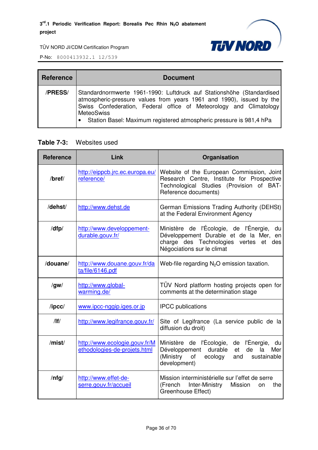

P-No: 8000413932.1 12/539

| <b>Reference</b> | <b>Document</b>                                                                                                                                                                                                                                                                                                   |  |  |  |
|------------------|-------------------------------------------------------------------------------------------------------------------------------------------------------------------------------------------------------------------------------------------------------------------------------------------------------------------|--|--|--|
| /PRESS/          | Standardnormwerte 1961-1990: Luftdruck auf Stationshöhe (Standardised<br>atmospheric-pressure values from years 1961 and 1990), issued by the<br>Swiss Confederation, Federal office of Meteorology and Climatology<br><b>MeteoSwiss</b><br>• Station Basel: Maximum registered atmospheric pressure is 981,4 hPa |  |  |  |

#### **Table 7-3:** Websites used

| <b>Reference</b> | Link                                                          | Organisation                                                                                                                                                          |  |  |
|------------------|---------------------------------------------------------------|-----------------------------------------------------------------------------------------------------------------------------------------------------------------------|--|--|
| $/$ bref $/$     | http://eippcb.jrc.ec.europa.eu/<br>reference/                 | Website of the European Commission, Joint<br>Research Centre, Institute for Prospective<br>Technological Studies (Provision of BAT-<br>Reference documents)           |  |  |
| /dehst/          | http://www.dehst.de                                           | German Emissions Trading Authority (DEHSt)<br>at the Federal Environment Agency                                                                                       |  |  |
| /dfp/            | http://www.developpement-<br>durable.gouv.fr/                 | Ministère de l'Écologie, de l'Énergie,<br>du<br>Développement Durable et de la Mer, en<br>charge des Technologies vertes<br>et des<br>Négociations sur le climat      |  |  |
| /douane/         | http://www.douane.gouv.fr/da<br>ta/file/6146.pdf              | Web-file regarding $N_2O$ emission taxation.                                                                                                                          |  |  |
| $\sqrt{g}$ w/    | http://www.global-<br>warming.de/                             | TUV Nord platform hosting projects open for<br>comments at the determination stage                                                                                    |  |  |
| $\sqrt{I}$       | www.ipcc-nggip.iges.or.jp                                     | <b>IPCC</b> publications                                                                                                                                              |  |  |
| /                | http://www.legifrance.gouv.fr/                                | Site of Legifrance (La service public de la<br>diffusion du droit)                                                                                                    |  |  |
| /mist/           | http://www.ecologie.gouv.fr/M<br>ethodologies-de-projets.html | Ministère de l'Écologie, de l'Énergie,<br>du<br>durable<br>la<br>Développement<br>de<br>Mer<br>et<br>(Ministry<br>of<br>ecology<br>sustainable<br>and<br>development) |  |  |
| $/$ nfg $/$      | http://www.effet-de-<br>serre.gouv.fr/accueil                 | Mission interministérielle sur l'effet de serre<br>Inter-Ministry<br>(French<br>Mission<br>the<br>on<br>Greenhouse Effect)                                            |  |  |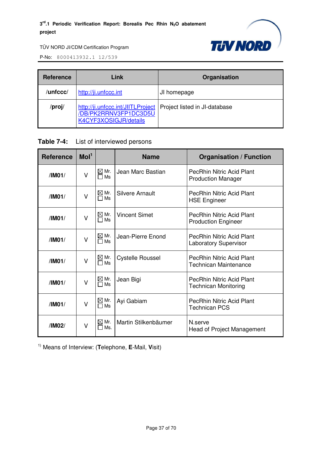

P-No: 8000413932.1 12/539

| Link<br><b>Reference</b> |                                                                                     | Organisation                  |  |
|--------------------------|-------------------------------------------------------------------------------------|-------------------------------|--|
| /unfccc/                 | http://ji.unfccc.int                                                                | JI homepage                   |  |
| /proj/                   | http://ji.unfccc.int/JIITLProject<br>/DB/PK2RRNV3FP1DC3D5U<br>K4CYF3XOSIGJR/details | Project listed in JI-database |  |

#### **Table 7-4:** List of interviewed persons

| <b>Reference</b>                                                         | Mol <sup>1</sup>                                            |                              | <b>Name</b>                                                      | <b>Organisation / Function</b>                                   |
|--------------------------------------------------------------------------|-------------------------------------------------------------|------------------------------|------------------------------------------------------------------|------------------------------------------------------------------|
| $\boxtimes$ Mr.<br>Jean Marc Bastian<br>$\vee$<br>/IM01/<br>Ms           |                                                             |                              | <b>PecRhin Nitric Acid Plant</b><br><b>Production Manager</b>    |                                                                  |
| /IM01/                                                                   | $\boxtimes$ Mr.<br><b>Silvere Arnault</b><br>$\vee$<br>□ Ms |                              | <b>PecRhin Nitric Acid Plant</b><br><b>HSE Engineer</b>          |                                                                  |
| $\boxtimes$ Mr.<br><b>Vincent Simet</b><br>$\vee$<br>/IMO1/<br>$\Box$ Ms |                                                             |                              | <b>PecRhin Nitric Acid Plant</b><br><b>Production Engineer</b>   |                                                                  |
| /IM01/                                                                   | V                                                           | $\boxtimes$ Mr.<br>$\Box$ Ms | Jean-Pierre Enond                                                | <b>PecRhin Nitric Acid Plant</b><br><b>Laboratory Supervisor</b> |
| $\boxtimes$ Mr.<br>/IM01/<br>$\vee$<br>Ms<br>П                           |                                                             | <b>Cystelle Roussel</b>      | <b>PecRhin Nitric Acid Plant</b><br><b>Technican Maintenance</b> |                                                                  |
| $\boxtimes$ Mr.<br>Jean Bigi<br>/IM01/<br>$\vee$<br>Ms<br>⊓              |                                                             |                              | <b>PecRhin Nitric Acid Plant</b><br><b>Technican Monitoring</b>  |                                                                  |
| /IM01/                                                                   | V                                                           | $\boxtimes$ Mr.<br>Ms<br>П   | Ayi Gabiam                                                       | PecRhin Nitric Acid Plant<br><b>Technican PCS</b>                |
| /IM02/                                                                   | $\vee$                                                      | $\boxtimes$ Mr.<br>Ms.       | Martin Stilkenbäumer                                             | N.serve<br>Head of Project Management                            |

1) Means of Interview: (**T**elephone, **E**-Mail, **V**isit)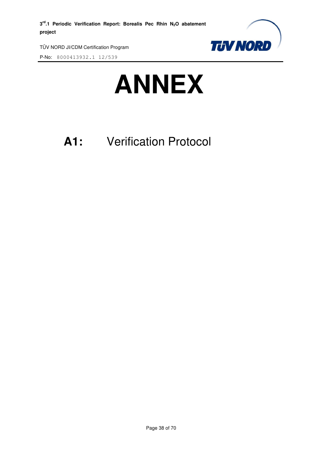

P-No: 8000413932.1 12/539



## **A1:** Verification Protocol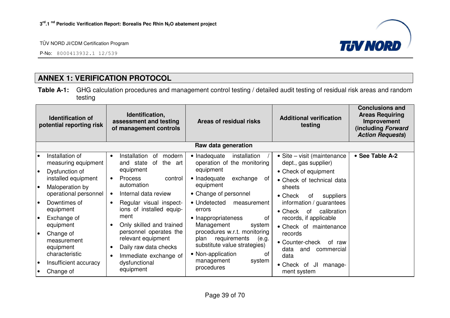P-No: 8000413932.1 12/539



## **ANNEX 1: VERIFICATION PROTOCOL**

**Table A-1:** GHG calculation procedures and management control testing / detailed audit testing of residual risk areas and random testing

| Identification,<br><b>Identification of</b><br>assessment and testing<br>potential reporting risk<br>of management controls |                                                                 | Areas of residual risks                                                                                                                                                       | <b>Additional verification</b><br>testing                                | <b>Conclusions and</b><br><b>Areas Requiring</b><br>Improvement<br>(including Forward<br><b>Action Requests)</b> |                                                                           |  |
|-----------------------------------------------------------------------------------------------------------------------------|-----------------------------------------------------------------|-------------------------------------------------------------------------------------------------------------------------------------------------------------------------------|--------------------------------------------------------------------------|------------------------------------------------------------------------------------------------------------------|---------------------------------------------------------------------------|--|
|                                                                                                                             |                                                                 |                                                                                                                                                                               | Raw data generation                                                      |                                                                                                                  |                                                                           |  |
| l o<br>$\bullet$                                                                                                            | Installation of<br>measuring equipment<br>Dysfunction of        | Installation<br>0f<br>modern<br>$\bullet$<br>the<br>and state<br>of<br>art<br>equipment                                                                                       | • Inadequate<br>installation<br>operation of the monitoring<br>equipment | • Site – visit (maintenance<br>dept., gas supplier)<br>• Check of equipment                                      | • See Table A-2                                                           |  |
| I۰                                                                                                                          | installed equipment<br>Maloperation by<br>operational personnel | <b>Process</b><br>control<br>$\bullet$<br>automation<br>Internal data review                                                                                                  | • Inadequate<br>exchange<br>of<br>equipment<br>• Change of personnel     | • Check of technical data<br>sheets<br>$\bullet$ Check<br>0f<br>suppliers                                        |                                                                           |  |
| l o                                                                                                                         | Downtimes of<br>equipment                                       | Regular visual inspect-<br>$\bullet$<br>ions of installed equip-                                                                                                              | • Undetected<br>measurement<br>errors                                    | information / guarantees<br>calibration<br>$\bullet$ Check<br>of                                                 |                                                                           |  |
| l o                                                                                                                         | Exchange of<br>equipment                                        | ment<br>Only skilled and trained<br>personnel operates the<br>relevant equipment<br>Daily raw data checks<br>$\bullet$<br>Immediate exchange of<br>dysfunctional<br>equipment | • Inappropriateness<br>0f<br>Management<br>system                        | records, if applicable<br>• Check of maintenance                                                                 |                                                                           |  |
| $\bullet$                                                                                                                   | Change of<br>measurement<br>equipment<br>characteristic         |                                                                                                                                                                               | requirements<br>plan<br>• Non-application                                | procedures w.r.t. monitoring<br>(e.g.<br>substitute value strategies)<br>of                                      | records<br>• Counter-check<br>of raw<br>data<br>and<br>commercial<br>data |  |
| $\bullet$                                                                                                                   | Insufficient accuracy<br>Change of                              |                                                                                                                                                                               | management<br>system<br>procedures                                       | $\bullet$ Check<br>JI<br>manage-<br>of<br>ment system                                                            |                                                                           |  |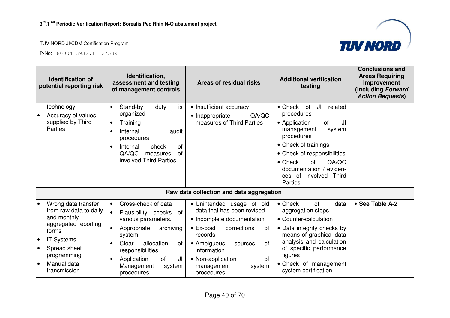

| <b>Identification of</b><br>potential reporting risk         | Identification,<br>assessment and testing<br>of management controls                               | <b>Areas of residual risks</b>                                                        | <b>Additional verification</b><br>testing                                                        | <b>Conclusions and</b><br><b>Areas Requiring</b><br>Improvement<br>(including Forward<br><b>Action Requests)</b> |
|--------------------------------------------------------------|---------------------------------------------------------------------------------------------------|---------------------------------------------------------------------------------------|--------------------------------------------------------------------------------------------------|------------------------------------------------------------------------------------------------------------------|
| technology<br>Accuracy of values<br>supplied by Third        | is<br>Stand-by<br>duty<br>$\bullet$<br>organized<br>Training<br>$\bullet$                         | • Insufficient accuracy<br>QA/QC<br>• Inappropriate<br>measures of Third Parties      | JI<br>$\bullet$ Check<br>of<br>related<br>procedures<br>• Application<br>of<br>JI                |                                                                                                                  |
| Parties                                                      | Internal<br>audit<br>procedures                                                                   |                                                                                       | management<br>system<br>procedures                                                               |                                                                                                                  |
|                                                              | <b>of</b><br>Internal<br>check<br>QA/QC<br><b>of</b><br>measures                                  |                                                                                       | • Check of trainings<br>• Check of responsibilities                                              |                                                                                                                  |
|                                                              | involved Third Parties                                                                            |                                                                                       | QA/QC<br>$\bullet$ Check<br>of<br>documentation / eviden-<br>ces of involved<br>Third<br>Parties |                                                                                                                  |
|                                                              |                                                                                                   | Raw data collection and data aggregation                                              |                                                                                                  |                                                                                                                  |
| Wrong data transfer<br>from raw data to daily<br>and monthly | Cross-check of data<br>$\bullet$<br>Plausibility checks<br>of<br>$\bullet$<br>various parameters. | • Unintended usage of old<br>data that has been revised<br>• Incomplete documentation | $\bullet$ Check<br><b>of</b><br>data<br>aggregation steps<br>• Counter-calculation               | • See Table A-2                                                                                                  |
| aggregated reporting<br>forms                                | Appropriate<br>archiving<br>system                                                                | $\bullet$ Ex-post<br>corrections<br>οf<br>records                                     | • Data integrity checks by<br>means of graphical data                                            |                                                                                                                  |
| <b>IT Systems</b><br>Spread sheet<br>programming             | Clear<br>allocation<br>of<br>responsibilities                                                     | • Ambiguous<br>οf<br>sources<br>information                                           | analysis and calculation<br>of specific performance<br>figures                                   |                                                                                                                  |
| Manual data<br>$\bullet$<br>transmission                     | JI<br>Application<br>of<br>Management<br>system<br>procedures                                     | of<br>• Non-application<br>management<br>system<br>procedures                         | • Check of management<br>system certification                                                    |                                                                                                                  |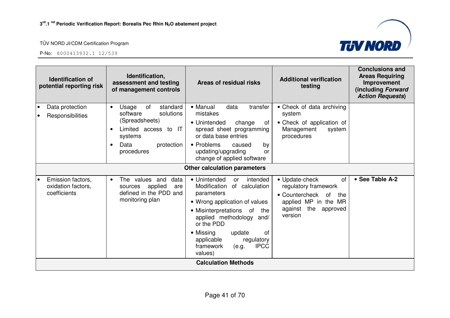

| <b>Identification of</b><br>potential reporting risk                 | Identification,<br>assessment and testing<br>of management controls                                                                                                 | Areas of residual risks                                                                                                                                                                                                                                                                              | <b>Additional verification</b><br>testing                                                                                                           | <b>Conclusions and</b><br><b>Areas Requiring</b><br>Improvement<br>(including Forward<br><b>Action Requests)</b> |
|----------------------------------------------------------------------|---------------------------------------------------------------------------------------------------------------------------------------------------------------------|------------------------------------------------------------------------------------------------------------------------------------------------------------------------------------------------------------------------------------------------------------------------------------------------------|-----------------------------------------------------------------------------------------------------------------------------------------------------|------------------------------------------------------------------------------------------------------------------|
| Data protection<br>$\bullet$<br>Responsibilities<br>٠                | of<br>standard<br>Usage<br>$\bullet$<br>solutions<br>software<br>(Spreadsheets)<br>Limited access to IT<br>systems<br>Data<br>protection<br>$\bullet$<br>procedures | • Manual<br>data<br>transfer<br>mistakes<br>• Unintended<br>change<br>0f<br>spread sheet programming<br>or data base entries<br>• Problems<br>caused<br>by<br>updating/upgrading<br>or<br>change of applied software                                                                                 | • Check of data archiving<br>system<br>• Check of application of<br>Management<br>system<br>procedures                                              |                                                                                                                  |
|                                                                      |                                                                                                                                                                     | Other calculation parameters                                                                                                                                                                                                                                                                         |                                                                                                                                                     |                                                                                                                  |
| Emission factors,<br>$\bullet$<br>oxidation factors,<br>coefficients | The values and<br>data<br>$\bullet$<br>applied<br>sources<br>are<br>defined in the PDD and<br>monitoring plan                                                       | • Unintended<br>intended<br>or<br>Modification<br>of calculation<br>parameters<br>• Wrong application of values<br>• Misinterpretations of<br>the<br>applied methodology and/<br>or the PDD<br>• Missing<br>of<br>update<br>applicable<br>regulatory<br>framework<br><b>IPCC</b><br>(e.g.<br>values) | • Update-check<br><b>of</b><br>regulatory framework<br>• Countercheck<br>of<br>the<br>applied MP in the MR<br>against<br>the<br>approved<br>version | • See Table A-2                                                                                                  |
|                                                                      |                                                                                                                                                                     | <b>Calculation Methods</b>                                                                                                                                                                                                                                                                           |                                                                                                                                                     |                                                                                                                  |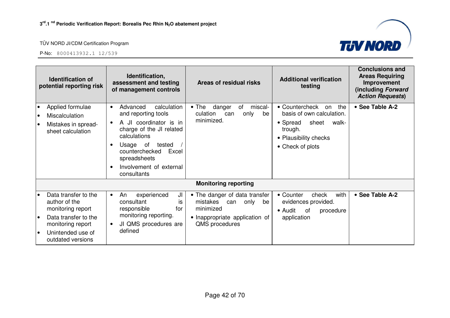

|                                     | <b>Identification of</b><br>potential reporting risk                                                                                              | Identification,<br>assessment and testing<br>of management controls                                                                                                                                                                          | Areas of residual risks                                                                                                      | <b>Additional verification</b><br>testing                                                                                                      | <b>Conclusions and</b><br><b>Areas Requiring</b><br>Improvement<br>(including Forward<br><b>Action Requests)</b> |
|-------------------------------------|---------------------------------------------------------------------------------------------------------------------------------------------------|----------------------------------------------------------------------------------------------------------------------------------------------------------------------------------------------------------------------------------------------|------------------------------------------------------------------------------------------------------------------------------|------------------------------------------------------------------------------------------------------------------------------------------------|------------------------------------------------------------------------------------------------------------------|
| $\bullet$<br>$\bullet$<br>$\bullet$ | Applied formulae<br><b>Miscalculation</b><br>Mistakes in spread-<br>sheet calculation                                                             | calculation<br>Advanced<br>$\bullet$<br>and reporting tools<br>A JI coordinator is in<br>charge of the JI related<br>calculations<br>Usage of<br>tested<br>counterchecked<br>Excel<br>spreadsheets<br>Involvement of external<br>consultants | $\bullet$ The<br>danger<br>of<br>miscal-<br>culation<br>only<br>be<br>can<br>minimized.                                      | • Countercheck<br>the<br>on<br>basis of own calculation.<br>sheet<br>• Spread<br>walk-<br>trough.<br>• Plausibility checks<br>• Check of plots | • See Table A-2                                                                                                  |
|                                     |                                                                                                                                                   |                                                                                                                                                                                                                                              | <b>Monitoring reporting</b>                                                                                                  |                                                                                                                                                |                                                                                                                  |
| le                                  | Data transfer to the<br>author of the<br>monitoring report<br>Data transfer to the<br>monitoring report<br>Unintended use of<br>outdated versions | experienced<br>JI<br>An<br>$\bullet$<br>consultant<br>İS<br>responsible<br>for<br>monitoring reporting.<br>JI QMS procedures are<br>٠<br>defined                                                                                             | • The danger of data transfer<br>mistakes can<br>only<br>be<br>minimized<br>• Inappropriate application of<br>QMS procedures | with<br>• Counter<br>check<br>evidences provided.<br>• Audit<br>0f<br>procedure<br>application                                                 | • See Table A-2                                                                                                  |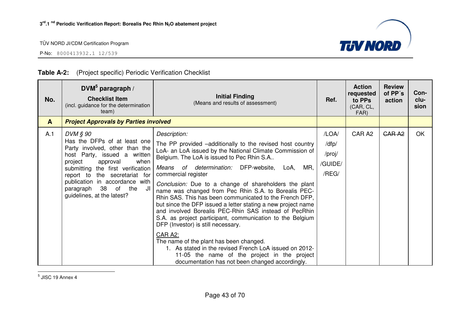P-No: 8000413932.1 12/539



|              | (1.10)                                                                                                                                                                                                                                                                                                       |                                                                                                                                                                                                                                                                                                                                                                                                                                                                                                                                                                                                                                                                                                                                                                                                                                                                                              |                                              |                                                           |                                    |                      |
|--------------|--------------------------------------------------------------------------------------------------------------------------------------------------------------------------------------------------------------------------------------------------------------------------------------------------------------|----------------------------------------------------------------------------------------------------------------------------------------------------------------------------------------------------------------------------------------------------------------------------------------------------------------------------------------------------------------------------------------------------------------------------------------------------------------------------------------------------------------------------------------------------------------------------------------------------------------------------------------------------------------------------------------------------------------------------------------------------------------------------------------------------------------------------------------------------------------------------------------------|----------------------------------------------|-----------------------------------------------------------|------------------------------------|----------------------|
| No.          | DVM $5$ paragraph /<br><b>Checklist Item</b><br>(incl. guidance for the determination<br>team)                                                                                                                                                                                                               | <b>Initial Finding</b><br>(Means and results of assessment)                                                                                                                                                                                                                                                                                                                                                                                                                                                                                                                                                                                                                                                                                                                                                                                                                                  | Ref.                                         | <b>Action</b><br>requested<br>to PPs<br>(CAR, CL,<br>FAR) | <b>Review</b><br>of PP's<br>action | Con-<br>clu-<br>sion |
| $\mathbf{A}$ | <b>Project Approvals by Parties involved</b>                                                                                                                                                                                                                                                                 |                                                                                                                                                                                                                                                                                                                                                                                                                                                                                                                                                                                                                                                                                                                                                                                                                                                                                              |                                              |                                                           |                                    |                      |
| A.1          | DVM § 90<br>Has the DFPs of at least one<br>Party involved, other than the<br>host Party, issued a written<br>project<br>when<br>approval<br>submitting the first verification<br>report to the secretariat for<br>publication in accordance with<br>paragraph 38 of the<br>JI<br>guidelines, at the latest? | Description:<br>The PP provided -additionally to the revised host country<br>LoA- an LoA issued by the National Climate Commission of<br>Belgium. The LoA is issued to Pec Rhin S.A<br>Means of determination: DFP-website,<br>MR,<br>LoA,<br>commercial register<br>Conclusion: Due to a change of shareholders the plant<br>name was changed from Pec Rhin S.A. to Borealis PEC-<br>Rhin SAS. This has been communicated to the French DFP,<br>but since the DFP issued a letter stating a new project name<br>and involved Borealis PEC-Rhin SAS instead of PecRhin<br>S.A. as project participant, communication to the Belgium<br>DFP (Investor) is still necessary.<br>CAR A2:<br>The name of the plant has been changed.<br>1. As stated in the revised French LoA issued on 2012-<br>11-05 the name of the project in the project<br>documentation has not been changed accordingly. | /LOA/<br>/dfp/<br>/proj/<br>/GUIDE/<br>/REG/ | CAR A2                                                    | <b>CARA2</b>                       | <b>OK</b>            |

#### **Table A-2:** (Project specific) Periodic Verification Checklist

 $<sup>5</sup>$  JISC 19 Annex 4</sup>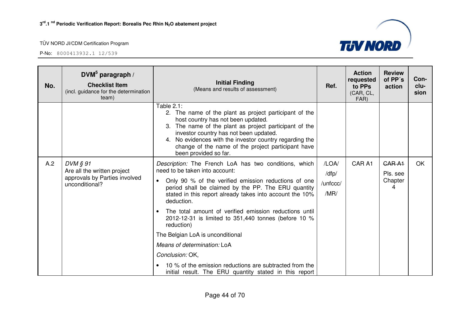| No. | DVM $5$ paragraph /<br><b>Checklist Item</b><br>(incl. guidance for the determination<br>team)  | <b>Initial Finding</b><br>(Means and results of assessment)                                                                                                                                                                                                                                                                                                                                                                                                                                                                                                                                                                              | Ref.                               | <b>Action</b><br>requested<br>to PPs<br>(CAR, CL,<br>FAR) | <b>Review</b><br>of PP's<br>action       | Con-<br>clu-<br>sion |
|-----|-------------------------------------------------------------------------------------------------|------------------------------------------------------------------------------------------------------------------------------------------------------------------------------------------------------------------------------------------------------------------------------------------------------------------------------------------------------------------------------------------------------------------------------------------------------------------------------------------------------------------------------------------------------------------------------------------------------------------------------------------|------------------------------------|-----------------------------------------------------------|------------------------------------------|----------------------|
|     |                                                                                                 | Table 2.1:<br>2. The name of the plant as project participant of the<br>host country has not been updated.<br>3. The name of the plant as project participant of the<br>investor country has not been updated.<br>4. No evidences with the investor country regarding the<br>change of the name of the project participant have<br>been provided so far.                                                                                                                                                                                                                                                                                 |                                    |                                                           |                                          |                      |
| A.2 | $DVM$ $\S$ 91<br>Are all the written project<br>approvals by Parties involved<br>unconditional? | Description: The French LoA has two conditions, which<br>need to be taken into account:<br>Only 90 % of the verified emission reductions of one<br>period shall be claimed by the PP. The ERU quantity<br>stated in this report already takes into account the 10%<br>deduction.<br>The total amount of verified emission reductions until<br>$\bullet$<br>2012-12-31 is limited to 351,440 tonnes (before 10 %<br>reduction)<br>The Belgian LoA is unconditional<br>Means of determination: LoA<br>Conclusion: OK,<br>10 % of the emission reductions are subtracted from the<br>initial result. The ERU quantity stated in this report | /LOA/<br>/dfp/<br>/unfccc/<br>/MR/ | CAR A1                                                    | <b>GARA1</b><br>Pls. see<br>Chapter<br>4 | <b>OK</b>            |

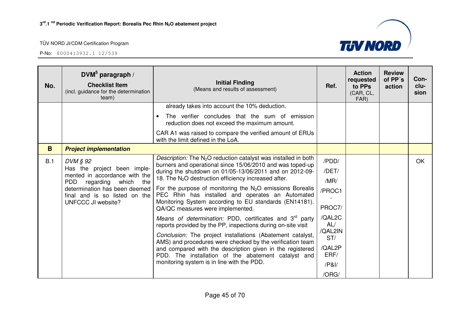

| No. | DVM $5$ paragraph /<br><b>Checklist Item</b><br>(incl. guidance for the determination<br>team) | <b>Initial Finding</b><br>(Means and results of assessment)                                                                          | Ref.           | <b>Action</b><br>requested<br>to PPs<br>(CAR, CL,<br>FAR) | <b>Review</b><br>of PP's<br>action | Con-<br>clu-<br>sion |
|-----|------------------------------------------------------------------------------------------------|--------------------------------------------------------------------------------------------------------------------------------------|----------------|-----------------------------------------------------------|------------------------------------|----------------------|
|     |                                                                                                | already takes into account the 10% deduction.<br>The verifier concludes that the sum of emission                                     |                |                                                           |                                    |                      |
|     |                                                                                                | reduction does not exceed the maximum amount.                                                                                        |                |                                                           |                                    |                      |
|     |                                                                                                | CAR A1 was raised to compare the verified amount of ERUs<br>with the limit defined in the LoA.                                       |                |                                                           |                                    |                      |
| B.  | <b>Project implementation</b>                                                                  |                                                                                                                                      |                |                                                           |                                    |                      |
| B.1 | DVM § 92                                                                                       | <i>Description:</i> The $N_2O$ reduction catalyst was installed in both<br>burners and operational since 15/06/2010 and was toped-up | /PDD/          |                                                           |                                    | OK                   |
|     | Has the project been imple-<br>mented in accordance with the                                   | during the shutdown on 01/05-13/06/2011 and on 2012-09-<br>18. The N <sub>2</sub> O destruction efficiency increased after.          | /DET/          |                                                           |                                    |                      |
|     | <b>PDD</b><br>regarding which<br>the<br>determination has been deemed                          | For the purpose of monitoring the $N_2O$ emissions Borealis                                                                          | /MR/           |                                                           |                                    |                      |
|     | final and is so listed on the                                                                  | PEC Rhin has installed and operates an Automated                                                                                     | /PROC1         |                                                           |                                    |                      |
|     | UNFCCC JI website?                                                                             | Monitoring System according to EU standards (EN14181).<br>QA/QC measures were implemented.                                           | PROC7/         |                                                           |                                    |                      |
|     |                                                                                                | Means of determination: PDD, certificates and 3 <sup>rd</sup> party<br>reports provided by the PP, inspections during on-site visit  | /QAL2C<br>AL/  |                                                           |                                    |                      |
|     |                                                                                                | Conclusion: The project installations (Abatement catalyst,<br>AMS) and procedures were checked by the verification team              | /QAL2IN<br>ST/ |                                                           |                                    |                      |
|     |                                                                                                | and compared with the description given in the registered<br>PDD. The installation of the abatement catalyst and                     |                |                                                           |                                    |                      |
|     |                                                                                                | monitoring system is in line with the PDD.                                                                                           | /PA            |                                                           |                                    |                      |
|     |                                                                                                |                                                                                                                                      | /ORG/          |                                                           |                                    |                      |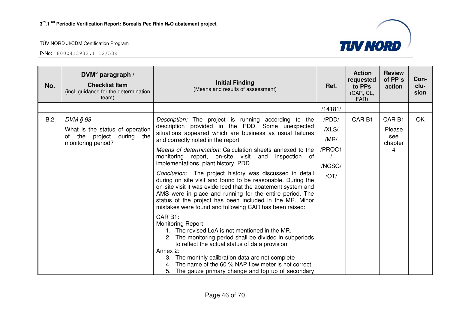| No. | $DWM^5$ paragraph /<br><b>Checklist Item</b><br>(incl. guidance for the determination<br>team)       | <b>Initial Finding</b><br>(Means and results of assessment)                                                                                                                                                                                                                                                                                                                                                                                                                                                                                                                                                                                                                                                                                                                                                                                                                                                                                                                                                                                                                                                                                | Ref.                                               | <b>Action</b><br>requested<br>to PPs<br>(CAR, CL,<br>FAR) | <b>Review</b><br>of PP's<br>action                 | Con-<br>clu-<br>sion |
|-----|------------------------------------------------------------------------------------------------------|--------------------------------------------------------------------------------------------------------------------------------------------------------------------------------------------------------------------------------------------------------------------------------------------------------------------------------------------------------------------------------------------------------------------------------------------------------------------------------------------------------------------------------------------------------------------------------------------------------------------------------------------------------------------------------------------------------------------------------------------------------------------------------------------------------------------------------------------------------------------------------------------------------------------------------------------------------------------------------------------------------------------------------------------------------------------------------------------------------------------------------------------|----------------------------------------------------|-----------------------------------------------------------|----------------------------------------------------|----------------------|
|     |                                                                                                      |                                                                                                                                                                                                                                                                                                                                                                                                                                                                                                                                                                                                                                                                                                                                                                                                                                                                                                                                                                                                                                                                                                                                            | /14181/                                            |                                                           |                                                    |                      |
| B.2 | DVM § 93<br>What is the status of operation<br>during the<br>the project<br>of<br>monitoring period? | Description: The project is running according to the<br>description provided in the PDD. Some unexpected<br>situations appeared which are business as usual failures<br>and correctly noted in the report.<br>Means of determination: Calculation sheets annexed to the<br>monitoring report, on-site visit<br>inspection of<br>and<br>implementations, plant history, PDD<br>Conclusion: The project history was discussed in detail<br>during on site visit and found to be reasonable. During the<br>on-site visit it was evidenced that the abatement system and<br>AMS were in place and running for the entire period. The<br>status of the project has been included in the MR. Minor<br>mistakes were found and following CAR has been raised:<br>CAR B1:<br><b>Monitoring Report</b><br>1. The revised LoA is not mentioned in the MR.<br>2. The monitoring period shall be divided in subperiods<br>to reflect the actual status of data provision.<br>Annex 2:<br>3. The monthly calibration data are not complete<br>The name of the 60 % NAP flow meter is not correct<br>5. The gauze primary change and top up of secondary | /PDD/<br>/XLS/<br>/MR/<br>/PROC1<br>/NCSG/<br>/OT/ | CAR <sub>B1</sub>                                         | CAR <sub>B1</sub><br>Please<br>see<br>chapter<br>4 | <b>OK</b>            |

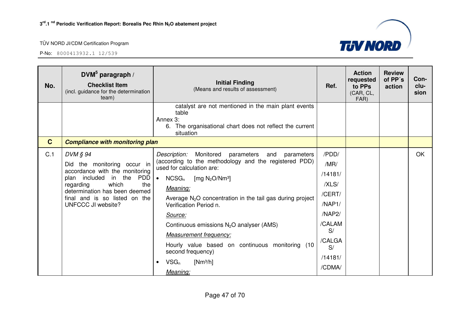

| No.          | DVM $5$ paragraph /<br><b>Checklist Item</b><br>(incl. guidance for the determination<br>team)                                                                                                                                | <b>Initial Finding</b><br>(Means and results of assessment)                                                                                                                                                                                                                                                                                                                                                                                                                                                            | Ref.                                                                                                                 | <b>Action</b><br>requested<br>to PPs<br>(CAR, CL,<br>FAR) | <b>Review</b><br>of PP's<br>action | Con-<br>clu-<br>sion |
|--------------|-------------------------------------------------------------------------------------------------------------------------------------------------------------------------------------------------------------------------------|------------------------------------------------------------------------------------------------------------------------------------------------------------------------------------------------------------------------------------------------------------------------------------------------------------------------------------------------------------------------------------------------------------------------------------------------------------------------------------------------------------------------|----------------------------------------------------------------------------------------------------------------------|-----------------------------------------------------------|------------------------------------|----------------------|
|              |                                                                                                                                                                                                                               | catalyst are not mentioned in the main plant events<br>table<br>Annex 3:<br>6. The organisational chart does not reflect the current<br>situation                                                                                                                                                                                                                                                                                                                                                                      |                                                                                                                      |                                                           |                                    |                      |
| $\mathbf{C}$ | <b>Compliance with monitoring plan</b>                                                                                                                                                                                        |                                                                                                                                                                                                                                                                                                                                                                                                                                                                                                                        |                                                                                                                      |                                                           |                                    |                      |
| C.1          | DVM § 94<br>Did the monitoring occur in<br>accordance with the monitoring<br>PDD<br>plan included in the<br>which<br>the<br>regarding<br>determination has been deemed<br>final and is so listed on the<br>UNFCCC JI website? | Description:<br>Monitored<br>parameters and<br>parameters<br>(according to the methodology and the registered PDD)<br>used for calculation are:<br>$NCSG_n$<br>[mg $N_2O/Nm^3$ ]<br>$\bullet$<br>Meaning:<br>Average $N_2O$ concentration in the tail gas during project<br>Verification Period n.<br>Source:<br>Continuous emissions $N_2O$ analyser (AMS)<br><b>Measurement frequency:</b><br>Hourly value based on continuous monitoring (10<br>second frequency)<br>$VSG_n$<br>$[Nm^3/h]$<br>$\bullet$<br>Meaning: | /PDD/<br>/MR/<br>/14181/<br>/XLS/<br>/CERT/<br>/NAP1/<br>/NAP2/<br>/CALAM<br>S/<br>/CALGA<br>S/<br>/14181/<br>/CDMA/ |                                                           |                                    | OK                   |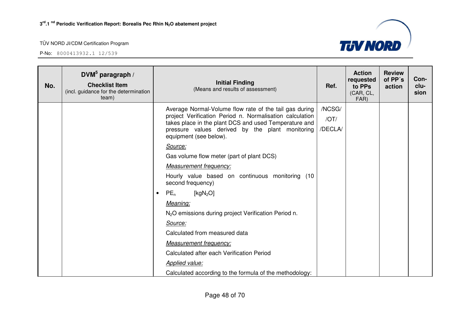

| No. | DVM $5$ paragraph /<br><b>Checklist Item</b><br>(incl. guidance for the determination<br>team) | <b>Initial Finding</b><br>(Means and results of assessment)                                                                                                                                                                                                                                                                                                                                                                                                                                                                                                                                                                                                                                                 | Ref.                      | <b>Action</b><br>requested<br>to PPs<br>(CAR, CL,<br>FAR) | <b>Review</b><br>of PP's<br>action | Con-<br>clu-<br>sion |
|-----|------------------------------------------------------------------------------------------------|-------------------------------------------------------------------------------------------------------------------------------------------------------------------------------------------------------------------------------------------------------------------------------------------------------------------------------------------------------------------------------------------------------------------------------------------------------------------------------------------------------------------------------------------------------------------------------------------------------------------------------------------------------------------------------------------------------------|---------------------------|-----------------------------------------------------------|------------------------------------|----------------------|
|     |                                                                                                | Average Normal-Volume flow rate of the tail gas during<br>project Verification Period n. Normalisation calculation<br>takes place in the plant DCS and used Temperature and<br>pressure values derived by the plant monitoring<br>equipment (see below).<br>Source:<br>Gas volume flow meter (part of plant DCS)<br><b>Measurement frequency:</b><br>Hourly value based on continuous monitoring (10<br>second frequency)<br>PE <sub>n</sub><br>[ $kgN2O$ ]<br>$\bullet$<br>Meaning:<br>N <sub>2</sub> O emissions during project Verification Period n.<br>Source:<br>Calculated from measured data<br><b>Measurement frequency:</b><br>Calculated after each Verification Period<br><b>Applied value:</b> | /NCSG/<br>/OT/<br>/DECLA/ |                                                           |                                    |                      |
|     |                                                                                                | Calculated according to the formula of the methodology:                                                                                                                                                                                                                                                                                                                                                                                                                                                                                                                                                                                                                                                     |                           |                                                           |                                    |                      |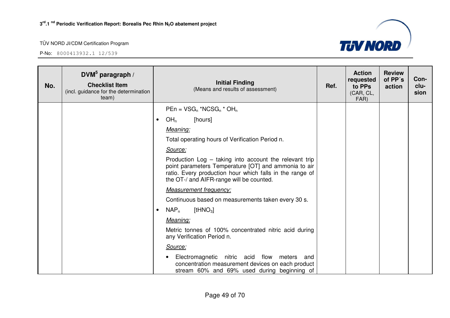

| No. | DVM $5$ paragraph /<br><b>Checklist Item</b><br>(incl. guidance for the determination<br>team) | <b>Initial Finding</b><br>(Means and results of assessment)                                                                                                                                                            | Ref. | <b>Action</b><br>requested<br>to PPs<br>(CAR, CL,<br>FAR) | <b>Review</b><br>of PP's<br>action | Con-<br>clu-<br>sion |
|-----|------------------------------------------------------------------------------------------------|------------------------------------------------------------------------------------------------------------------------------------------------------------------------------------------------------------------------|------|-----------------------------------------------------------|------------------------------------|----------------------|
|     |                                                                                                | $PEn = VSG_n * NCSG_n * OH_n$                                                                                                                                                                                          |      |                                                           |                                    |                      |
|     |                                                                                                | OH <sub>n</sub><br>[hours]                                                                                                                                                                                             |      |                                                           |                                    |                      |
|     |                                                                                                | Meaning:                                                                                                                                                                                                               |      |                                                           |                                    |                      |
|     |                                                                                                | Total operating hours of Verification Period n.                                                                                                                                                                        |      |                                                           |                                    |                      |
|     |                                                                                                | Source:                                                                                                                                                                                                                |      |                                                           |                                    |                      |
|     |                                                                                                | Production Log - taking into account the relevant trip<br>point parameters Temperature [OT] and ammonia to air<br>ratio. Every production hour which falls in the range of<br>the OT-/ and AIFR-range will be counted. |      |                                                           |                                    |                      |
|     |                                                                                                | <b>Measurement frequency:</b>                                                                                                                                                                                          |      |                                                           |                                    |                      |
|     |                                                                                                | Continuous based on measurements taken every 30 s.                                                                                                                                                                     |      |                                                           |                                    |                      |
|     |                                                                                                | $NAP_n$<br>[tHN $O_3$ ]                                                                                                                                                                                                |      |                                                           |                                    |                      |
|     |                                                                                                | Meaning:                                                                                                                                                                                                               |      |                                                           |                                    |                      |
|     |                                                                                                | Metric tonnes of 100% concentrated nitric acid during<br>any Verification Period n.                                                                                                                                    |      |                                                           |                                    |                      |
|     |                                                                                                | Source:                                                                                                                                                                                                                |      |                                                           |                                    |                      |
|     |                                                                                                | Electromagnetic nitric acid flow meters and<br>concentration measurement devices on each product<br>stream 60% and 69% used during beginning of                                                                        |      |                                                           |                                    |                      |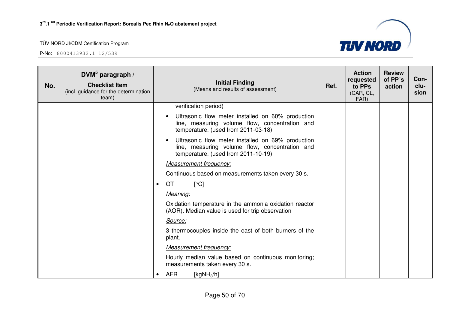

| No. | DVM $5$ paragraph /<br><b>Checklist Item</b><br>(incl. guidance for the determination<br>team) | <b>Initial Finding</b><br>Ref.<br>(Means and results of assessment)                                                                        | <b>Action</b><br>requested<br>to PPs<br>(CAR, CL,<br>FAR) | <b>Review</b><br>of PP's<br>action | Con-<br>clu-<br>sion |
|-----|------------------------------------------------------------------------------------------------|--------------------------------------------------------------------------------------------------------------------------------------------|-----------------------------------------------------------|------------------------------------|----------------------|
|     |                                                                                                | verification period)                                                                                                                       |                                                           |                                    |                      |
|     |                                                                                                | Ultrasonic flow meter installed on 60% production<br>line, measuring volume flow, concentration and<br>temperature. (used from 2011-03-18) |                                                           |                                    |                      |
|     |                                                                                                | Ultrasonic flow meter installed on 69% production<br>line, measuring volume flow, concentration and<br>temperature. (used from 2011-10-19) |                                                           |                                    |                      |
|     |                                                                                                | <b>Measurement frequency:</b>                                                                                                              |                                                           |                                    |                      |
|     |                                                                                                | Continuous based on measurements taken every 30 s.                                                                                         |                                                           |                                    |                      |
|     |                                                                                                | <b>OT</b><br>$\lceil \text{°C} \rceil$<br>$\bullet$                                                                                        |                                                           |                                    |                      |
|     |                                                                                                | Meaning:                                                                                                                                   |                                                           |                                    |                      |
|     |                                                                                                | Oxidation temperature in the ammonia oxidation reactor<br>(AOR). Median value is used for trip observation                                 |                                                           |                                    |                      |
|     |                                                                                                | Source:                                                                                                                                    |                                                           |                                    |                      |
|     |                                                                                                | 3 thermocouples inside the east of both burners of the<br>plant.                                                                           |                                                           |                                    |                      |
|     |                                                                                                | <b>Measurement frequency:</b>                                                                                                              |                                                           |                                    |                      |
|     |                                                                                                | Hourly median value based on continuous monitoring;<br>measurements taken every 30 s.                                                      |                                                           |                                    |                      |
|     |                                                                                                | <b>AFR</b><br>[ $kgNH3/h$ ]<br>$\bullet$                                                                                                   |                                                           |                                    |                      |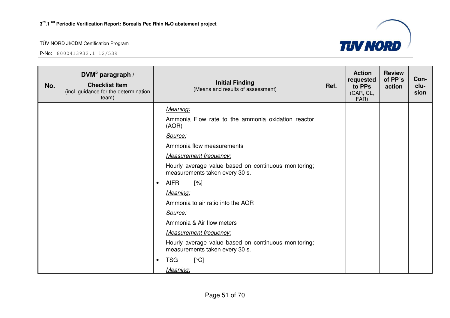

| No. | DVM <sup>5</sup> paragraph /<br><b>Checklist Item</b><br>(incl. guidance for the determination<br>team) |           | <b>Initial Finding</b><br>(Means and results of assessment)                            | Ref. | <b>Action</b><br>requested<br>to PPs<br>(CAR, CL,<br>FAR) | <b>Review</b><br>of PP's<br>action | Con-<br>clu-<br>sion |
|-----|---------------------------------------------------------------------------------------------------------|-----------|----------------------------------------------------------------------------------------|------|-----------------------------------------------------------|------------------------------------|----------------------|
|     |                                                                                                         |           | Meaning:                                                                               |      |                                                           |                                    |                      |
|     |                                                                                                         |           | Ammonia Flow rate to the ammonia oxidation reactor<br>(AOR)                            |      |                                                           |                                    |                      |
|     |                                                                                                         |           | Source:                                                                                |      |                                                           |                                    |                      |
|     |                                                                                                         |           | Ammonia flow measurements                                                              |      |                                                           |                                    |                      |
|     |                                                                                                         |           | <b>Measurement frequency:</b>                                                          |      |                                                           |                                    |                      |
|     |                                                                                                         |           | Hourly average value based on continuous monitoring;<br>measurements taken every 30 s. |      |                                                           |                                    |                      |
|     |                                                                                                         | $\bullet$ | <b>AIFR</b><br>$\lceil\% \rceil$                                                       |      |                                                           |                                    |                      |
|     |                                                                                                         |           | Meaning:                                                                               |      |                                                           |                                    |                      |
|     |                                                                                                         |           | Ammonia to air ratio into the AOR                                                      |      |                                                           |                                    |                      |
|     |                                                                                                         |           | Source:                                                                                |      |                                                           |                                    |                      |
|     |                                                                                                         |           | Ammonia & Air flow meters                                                              |      |                                                           |                                    |                      |
|     |                                                                                                         |           | <b>Measurement frequency:</b>                                                          |      |                                                           |                                    |                      |
|     |                                                                                                         |           | Hourly average value based on continuous monitoring;<br>measurements taken every 30 s. |      |                                                           |                                    |                      |
|     |                                                                                                         | $\bullet$ | <b>TSG</b><br>[°C]                                                                     |      |                                                           |                                    |                      |
|     |                                                                                                         |           | Meaning:                                                                               |      |                                                           |                                    |                      |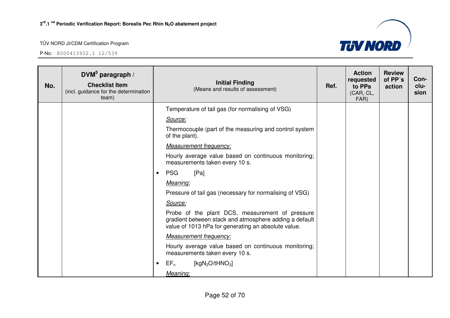

| No. | DVM $5$ paragraph /<br><b>Checklist Item</b><br>(incl. guidance for the determination<br>team) |                                | <b>Initial Finding</b><br>(Means and results of assessment)                                                                                                      | Ref. | <b>Action</b><br>requested<br>to PPs<br>(CAR, CL,<br>FAR) | <b>Review</b><br>of PP's<br>action | Con-<br>clu-<br>sion |
|-----|------------------------------------------------------------------------------------------------|--------------------------------|------------------------------------------------------------------------------------------------------------------------------------------------------------------|------|-----------------------------------------------------------|------------------------------------|----------------------|
|     |                                                                                                |                                | Temperature of tail gas (for normalising of VSG)                                                                                                                 |      |                                                           |                                    |                      |
|     |                                                                                                | Source:                        |                                                                                                                                                                  |      |                                                           |                                    |                      |
|     |                                                                                                | of the plant).                 | Thermocouple (part of the measuring and control system                                                                                                           |      |                                                           |                                    |                      |
|     |                                                                                                | <b>Measurement frequency:</b>  |                                                                                                                                                                  |      |                                                           |                                    |                      |
|     |                                                                                                | measurements taken every 10 s. | Hourly average value based on continuous monitoring;                                                                                                             |      |                                                           |                                    |                      |
|     |                                                                                                | <b>PSG</b><br>[Pa]             |                                                                                                                                                                  |      |                                                           |                                    |                      |
|     |                                                                                                | Meaning:                       |                                                                                                                                                                  |      |                                                           |                                    |                      |
|     |                                                                                                |                                | Pressure of tail gas (necessary for normalising of VSG)                                                                                                          |      |                                                           |                                    |                      |
|     |                                                                                                | Source:                        |                                                                                                                                                                  |      |                                                           |                                    |                      |
|     |                                                                                                |                                | Probe of the plant DCS, measurement of pressure<br>gradient between stack and atmosphere adding a default<br>value of 1013 hPa for generating an absolute value. |      |                                                           |                                    |                      |
|     |                                                                                                | <b>Measurement frequency:</b>  |                                                                                                                                                                  |      |                                                           |                                    |                      |
|     |                                                                                                | measurements taken every 10 s. | Hourly average value based on continuous monitoring;                                                                                                             |      |                                                           |                                    |                      |
|     |                                                                                                | [ $kgN_2O/tHNO_3$ ]<br>$EF_n$  |                                                                                                                                                                  |      |                                                           |                                    |                      |
|     |                                                                                                | Meaning:                       |                                                                                                                                                                  |      |                                                           |                                    |                      |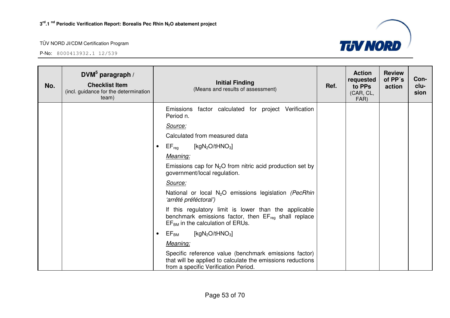

| No. | DVM $5$ paragraph /<br><b>Checklist Item</b><br>(incl. guidance for the determination<br>team) | <b>Initial Finding</b><br>(Means and results of assessment)                                                                                                 | Ref. | <b>Action</b><br>requested<br>to PPs<br>(CAR, CL,<br>FAR) | <b>Review</b><br>of PP's<br>action | Con-<br>clu-<br>sion |
|-----|------------------------------------------------------------------------------------------------|-------------------------------------------------------------------------------------------------------------------------------------------------------------|------|-----------------------------------------------------------|------------------------------------|----------------------|
|     |                                                                                                | Emissions factor calculated for project Verification<br>Period n.                                                                                           |      |                                                           |                                    |                      |
|     |                                                                                                | Source:                                                                                                                                                     |      |                                                           |                                    |                      |
|     |                                                                                                | Calculated from measured data                                                                                                                               |      |                                                           |                                    |                      |
|     |                                                                                                | $EF_{\text{req}}$<br>[ $kgN_2O/tHNO_3$ ]<br>$\bullet$                                                                                                       |      |                                                           |                                    |                      |
|     |                                                                                                | Meaning:                                                                                                                                                    |      |                                                           |                                    |                      |
|     |                                                                                                | Emissions cap for $N_2O$ from nitric acid production set by<br>government/local regulation.                                                                 |      |                                                           |                                    |                      |
|     |                                                                                                | Source:                                                                                                                                                     |      |                                                           |                                    |                      |
|     |                                                                                                | National or local N <sub>2</sub> O emissions legislation (PecRhin<br>'arrêté préféctoral')                                                                  |      |                                                           |                                    |                      |
|     |                                                                                                | If this regulatory limit is lower than the applicable<br>benchmark emissions factor, then $EF_{reg}$ shall replace<br>$EFBM$ in the calculation of ERUs.    |      |                                                           |                                    |                      |
|     |                                                                                                | $EF_{BM}$<br>[ $kgN_2O/tHNO_3$ ]<br>$\bullet$                                                                                                               |      |                                                           |                                    |                      |
|     |                                                                                                | Meaning:                                                                                                                                                    |      |                                                           |                                    |                      |
|     |                                                                                                | Specific reference value (benchmark emissions factor)<br>that will be applied to calculate the emissions reductions<br>from a specific Verification Period. |      |                                                           |                                    |                      |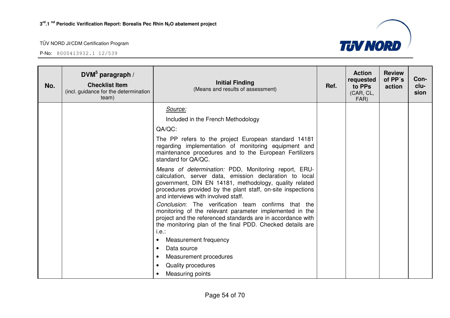

| No. | DVM $5$ paragraph /<br><b>Checklist Item</b><br>(incl. guidance for the determination<br>team) | <b>Initial Finding</b><br>(Means and results of assessment)                                                                                                                                                                                                                     | Ref. | <b>Action</b><br>requested<br>to PPs<br>(CAR, CL,<br>FAR) | <b>Review</b><br>of PP's<br>action | Con-<br>clu-<br>sion |
|-----|------------------------------------------------------------------------------------------------|---------------------------------------------------------------------------------------------------------------------------------------------------------------------------------------------------------------------------------------------------------------------------------|------|-----------------------------------------------------------|------------------------------------|----------------------|
|     |                                                                                                | Source:                                                                                                                                                                                                                                                                         |      |                                                           |                                    |                      |
|     |                                                                                                | Included in the French Methodology                                                                                                                                                                                                                                              |      |                                                           |                                    |                      |
|     |                                                                                                | QA/QC:                                                                                                                                                                                                                                                                          |      |                                                           |                                    |                      |
|     |                                                                                                | The PP refers to the project European standard 14181<br>regarding implementation of monitoring equipment and<br>maintenance procedures and to the European Fertilizers<br>standard for QA/QC.                                                                                   |      |                                                           |                                    |                      |
|     |                                                                                                | Means of determination: PDD, Monitoring report, ERU-<br>calculation, server data, emission declaration to local<br>government, DIN EN 14181, methodology, quality related<br>procedures provided by the plant staff, on-site inspections<br>and interviews with involved staff. |      |                                                           |                                    |                      |
|     |                                                                                                | Conclusion: The verification team confirms that the<br>monitoring of the relevant parameter implemented in the<br>project and the referenced standards are in accordance with<br>the monitoring plan of the final PDD. Checked details are<br>i.e.:                             |      |                                                           |                                    |                      |
|     |                                                                                                | Measurement frequency<br>$\bullet$                                                                                                                                                                                                                                              |      |                                                           |                                    |                      |
|     |                                                                                                | Data source<br>$\bullet$                                                                                                                                                                                                                                                        |      |                                                           |                                    |                      |
|     |                                                                                                | Measurement procedures<br>$\bullet$                                                                                                                                                                                                                                             |      |                                                           |                                    |                      |
|     |                                                                                                | Quality procedures<br>$\bullet$                                                                                                                                                                                                                                                 |      |                                                           |                                    |                      |
|     |                                                                                                | Measuring points<br>$\bullet$                                                                                                                                                                                                                                                   |      |                                                           |                                    |                      |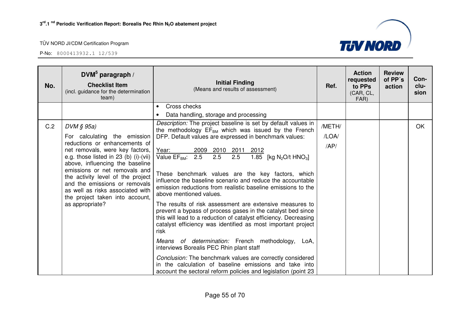

| No.                          | DVM $5$ paragraph /<br><b>Checklist Item</b><br>(incl. guidance for the determination<br>team)                                                                                                                                                                                                                                                | <b>Initial Finding</b><br>(Means and results of assessment)                                                                                                                                                                                                         | Ref.   | <b>Action</b><br>requested<br>to PPs<br>(CAR, CL,<br>FAR) | <b>Review</b><br>of PP's<br>action | Con-<br>clu-<br>sion |
|------------------------------|-----------------------------------------------------------------------------------------------------------------------------------------------------------------------------------------------------------------------------------------------------------------------------------------------------------------------------------------------|---------------------------------------------------------------------------------------------------------------------------------------------------------------------------------------------------------------------------------------------------------------------|--------|-----------------------------------------------------------|------------------------------------|----------------------|
|                              |                                                                                                                                                                                                                                                                                                                                               | Cross checks<br>$\bullet$                                                                                                                                                                                                                                           |        |                                                           |                                    |                      |
|                              |                                                                                                                                                                                                                                                                                                                                               | Data handling, storage and processing                                                                                                                                                                                                                               |        |                                                           |                                    |                      |
| C.2                          | $DVM \S 95a$                                                                                                                                                                                                                                                                                                                                  | Description: The project baseline is set by default values in<br>the methodology $EF_{BM}$ which was issued by the French                                                                                                                                           | /METH/ |                                                           |                                    | OK                   |
| For calculating the emission | DFP. Default values are expressed in benchmark values:                                                                                                                                                                                                                                                                                        | /LOA/                                                                                                                                                                                                                                                               |        |                                                           |                                    |                      |
|                              | reductions or enhancements of<br>net removals, were key factors,<br>e.g. those listed in 23 (b) (i)-(vii)<br>above, influencing the baseline<br>emissions or net removals and<br>the activity level of the project<br>and the emissions or removals<br>as well as risks associated with<br>the project taken into account,<br>as appropriate? | Year:<br>2009 2010 2011 2012<br>2.5 2.5 2.5 1.85<br>Value EF <sub>BM</sub> :<br>1.85 [kg N <sub>2</sub> O/t HNO <sub>3</sub> ]<br>These benchmark values are the key factors, which                                                                                 | AP/    |                                                           |                                    |                      |
|                              |                                                                                                                                                                                                                                                                                                                                               | influence the baseline scenario and reduce the accountable<br>emission reductions from realistic baseline emissions to the<br>above mentioned values.                                                                                                               |        |                                                           |                                    |                      |
|                              |                                                                                                                                                                                                                                                                                                                                               | The results of risk assessment are extensive measures to<br>prevent a bypass of process gases in the catalyst bed since<br>this will lead to a reduction of catalyst efficiency. Decreasing<br>catalyst efficiency was identified as most important project<br>risk |        |                                                           |                                    |                      |
|                              |                                                                                                                                                                                                                                                                                                                                               | Means of determination: French methodology,<br>LoA,<br>interviews Borealis PEC Rhin plant staff                                                                                                                                                                     |        |                                                           |                                    |                      |
|                              |                                                                                                                                                                                                                                                                                                                                               | Conclusion: The benchmark values are correctly considered<br>in the calculation of baseline emissions and take into<br>account the sectoral reform policies and legislation (point 23                                                                               |        |                                                           |                                    |                      |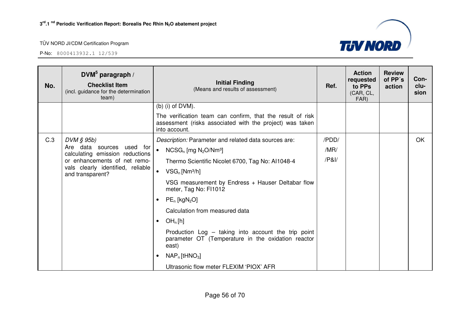

| No. | DVM $5$ paragraph /<br><b>Checklist Item</b><br>(incl. guidance for the determination<br>team) | <b>Initial Finding</b><br>(Means and results of assessment)                                                                             | Ref.  | <b>Action</b><br>requested<br>to PPs<br>(CAR, CL,<br>FAR) | <b>Review</b><br>of PP's<br>action | Con-<br>clu-<br>sion |
|-----|------------------------------------------------------------------------------------------------|-----------------------------------------------------------------------------------------------------------------------------------------|-------|-----------------------------------------------------------|------------------------------------|----------------------|
|     |                                                                                                | (b) (i) of $DVM$ ).                                                                                                                     |       |                                                           |                                    |                      |
|     |                                                                                                | The verification team can confirm, that the result of risk<br>assessment (risks associated with the project) was taken<br>into account. |       |                                                           |                                    |                      |
| C.3 | DVM § 95b)                                                                                     | Description: Parameter and related data sources are:                                                                                    | /PDD/ |                                                           |                                    | <b>OK</b>            |
|     | Are data sources used for<br>calculating emission reductions                                   | $\bullet$<br>$NCSG_n$ [mg $N_2O/Nm^3$ ]                                                                                                 | /MR/  |                                                           |                                    |                      |
|     | or enhancements of net remo-                                                                   | Thermo Scientific Nicolet 6700, Tag No: Al1048-4                                                                                        | /P8I/ |                                                           |                                    |                      |
|     | vals clearly identified, reliable<br>and transparent?                                          | $VSG_n$ [Nm <sup>3</sup> /h]<br>$\bullet$                                                                                               |       |                                                           |                                    |                      |
|     |                                                                                                | VSG measurement by Endress + Hauser Deltabar flow<br>meter, Tag No: FI1012                                                              |       |                                                           |                                    |                      |
|     |                                                                                                | $PE_n$ [kgN <sub>2</sub> O]                                                                                                             |       |                                                           |                                    |                      |
|     |                                                                                                | Calculation from measured data                                                                                                          |       |                                                           |                                    |                      |
|     |                                                                                                | OH <sub>n</sub> [h]<br>$\bullet$                                                                                                        |       |                                                           |                                    |                      |
|     |                                                                                                | Production Log - taking into account the trip point<br>parameter OT (Temperature in the oxidation reactor<br>east)                      |       |                                                           |                                    |                      |
|     |                                                                                                | $NAP_n$ [tHNO <sub>3</sub> ]<br>$\bullet$                                                                                               |       |                                                           |                                    |                      |
|     |                                                                                                | Ultrasonic flow meter FLEXIM 'PIOX' AFR                                                                                                 |       |                                                           |                                    |                      |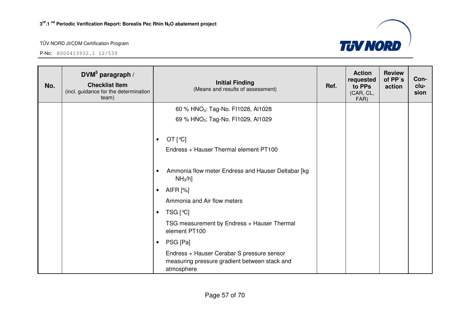

| No. | DVM <sup>5</sup> paragraph /<br><b>Checklist Item</b><br>(incl. guidance for the determination<br>team) | <b>Initial Finding</b><br>(Means and results of assessment)                                               | Ref. | <b>Action</b><br>requested<br>to PPs<br>(CAR, CL,<br>FAR) | <b>Review</b><br>of PP's<br>action | Con-<br>clu-<br>sion |
|-----|---------------------------------------------------------------------------------------------------------|-----------------------------------------------------------------------------------------------------------|------|-----------------------------------------------------------|------------------------------------|----------------------|
|     |                                                                                                         | 60 % HNO <sub>3</sub> : Tag-No. FI1028, AI1028                                                            |      |                                                           |                                    |                      |
|     |                                                                                                         | 69 % HNO <sub>3</sub> : Tag-No. FI1029, AI1029                                                            |      |                                                           |                                    |                      |
|     |                                                                                                         | OT $[°C]$<br>$\bullet$<br>Endress + Hauser Thermal element PT100                                          |      |                                                           |                                    |                      |
|     |                                                                                                         | Ammonia flow meter Endress and Hauser Deltabar [kg<br>$\bullet$<br>$NH3/h$ ]                              |      |                                                           |                                    |                      |
|     |                                                                                                         | AIFR [%]<br>$\bullet$                                                                                     |      |                                                           |                                    |                      |
|     |                                                                                                         | Ammonia and Air flow meters                                                                               |      |                                                           |                                    |                      |
|     |                                                                                                         | TSG [℃]<br>$\bullet$                                                                                      |      |                                                           |                                    |                      |
|     |                                                                                                         | TSG measurement by Endress + Hauser Thermal<br>element PT100                                              |      |                                                           |                                    |                      |
|     |                                                                                                         | PSG [Pa]<br>$\bullet$                                                                                     |      |                                                           |                                    |                      |
|     |                                                                                                         | Endress + Hauser Cerabar S pressure sensor<br>measuring pressure gradient between stack and<br>atmosphere |      |                                                           |                                    |                      |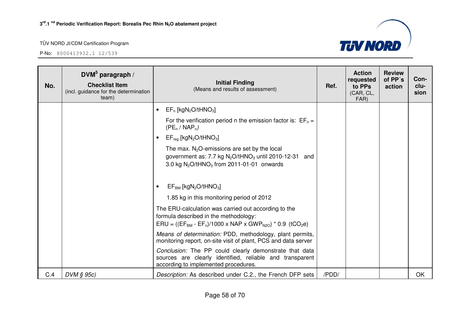

| No. | DVM $5$ paragraph /<br><b>Checklist Item</b><br>(incl. guidance for the determination<br>team) | <b>Initial Finding</b><br>(Means and results of assessment)                                                                                                                             | Ref.  | <b>Action</b><br>requested<br>to PPs<br>(CAR, CL,<br>FAR) | <b>Review</b><br>of PP's<br>action | Con-<br>clu-<br>sion |
|-----|------------------------------------------------------------------------------------------------|-----------------------------------------------------------------------------------------------------------------------------------------------------------------------------------------|-------|-----------------------------------------------------------|------------------------------------|----------------------|
|     |                                                                                                | $EF_n$ [kgN <sub>2</sub> O/tHNO <sub>3</sub> ]<br>$\bullet$                                                                                                                             |       |                                                           |                                    |                      |
|     |                                                                                                | For the verification period n the emission factor is: $EF_n =$<br>$(PE_n / NAP_n)$                                                                                                      |       |                                                           |                                    |                      |
|     |                                                                                                | $EF_{req}$ [kgN <sub>2</sub> O/tHNO <sub>3</sub> ]<br>$\bullet$                                                                                                                         |       |                                                           |                                    |                      |
|     |                                                                                                | The max. $N_2O$ -emissions are set by the local<br>government as: 7.7 kg $N_2O$ /tHNO <sub>3</sub> until 2010-12-31 and<br>3.0 kg $N_2O/tHNO_3$ from 2011-01-01 onwards                 |       |                                                           |                                    |                      |
|     |                                                                                                | $EF_{BM}$ [kgN <sub>2</sub> O/tHNO <sub>3</sub> ]<br>$\bullet$                                                                                                                          |       |                                                           |                                    |                      |
|     |                                                                                                | 1.85 kg in this monitoring period of 2012                                                                                                                                               |       |                                                           |                                    |                      |
|     |                                                                                                | The ERU-calculation was carried out according to the<br>formula described in the methodology:<br>$ERU = ((EF_{BM} - EF_n)/1000 \times NAP \times GWP_{N20}) * 0.9$ (tCO <sub>2</sub> e) |       |                                                           |                                    |                      |
|     |                                                                                                | Means of determination: PDD, methodology, plant permits,<br>monitoring report, on-site visit of plant, PCS and data server                                                              |       |                                                           |                                    |                      |
|     |                                                                                                | Conclusion: The PP could clearly demonstrate that data<br>sources are clearly identified, reliable and transparent<br>according to implemented procedures.                              |       |                                                           |                                    |                      |
| C.4 | $DVM \S 95c$                                                                                   | Description: As described under C.2., the French DFP sets                                                                                                                               | /PDD/ |                                                           |                                    | OK                   |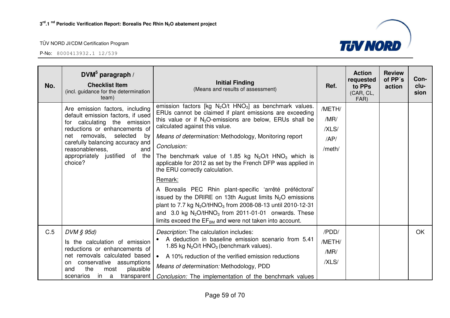

| No. | $DWM^5$ paragraph /<br><b>Checklist Item</b><br>(incl. guidance for the determination<br>team)                                                                                                                                                                                   | <b>Initial Finding</b><br>(Means and results of assessment)                                                                                                                                                                                                                                                                                                                                                                                                                                                                                                                                                                                                                                                                                                                                                       | Ref.                                     | <b>Action</b><br>requested<br>to PPs<br>(CAR, CL,<br>FAR) | <b>Review</b><br>of PP's<br>action | Con-<br>clu-<br>sion |
|-----|----------------------------------------------------------------------------------------------------------------------------------------------------------------------------------------------------------------------------------------------------------------------------------|-------------------------------------------------------------------------------------------------------------------------------------------------------------------------------------------------------------------------------------------------------------------------------------------------------------------------------------------------------------------------------------------------------------------------------------------------------------------------------------------------------------------------------------------------------------------------------------------------------------------------------------------------------------------------------------------------------------------------------------------------------------------------------------------------------------------|------------------------------------------|-----------------------------------------------------------|------------------------------------|----------------------|
|     | Are emission factors, including<br>default emission factors, if used<br>for calculating the emission<br>reductions or enhancements of<br>net removals, selected<br>by<br>carefully balancing accuracy and<br>and<br>reasonableness,<br>appropriately justified of the<br>choice? | emission factors [kg $N_2O/t$ HNO <sub>3</sub> ] as benchmark values.<br>ERUs cannot be claimed if plant emissions are exceeding<br>this value or if $N_2O$ -emissions are below, ERUs shall be<br>calculated against this value.<br>Means of determination: Methodology, Monitoring report<br>Conclusion:<br>The benchmark value of 1.85 kg $N_2O/t$ HNO <sub>3</sub> which is<br>applicable for 2012 as set by the French DFP was applied in<br>the ERU correctly calculation.<br>Remark:<br>A Borealis PEC Rhin plant-specific 'arrêté préféctoral'<br>issued by the DRIRE on 13th August limits $N_2O$ emissions<br>plant to 7.7 kg $N_2O/tHNO_3$ from 2008-08-13 until 2010-12-31<br>and 3.0 kg $N_2O/tHNO_3$ from 2011-01-01 onwards. These<br>limits exceed the $EF_{BM}$ and were not taken into account. | /METH/<br>/MR/<br>/XLS/<br>AP/<br>/meth/ |                                                           |                                    |                      |
| C.5 | DVM § 95d)<br>Is the calculation of emission<br>reductions or enhancements of<br>net removals calculated based<br>on conservative assumptions<br>the<br>plausible<br>and<br>most<br>transparent<br>in a<br>scenarios                                                             | Description: The calculation includes:<br>A deduction in baseline emission scenario from 5.41<br>1.85 kg $N_2O/t$ HNO <sub>3</sub> (benchmark values).<br>A 10% reduction of the verified emission reductions<br>$\bullet$<br>Means of determination: Methodology, PDD<br>Conclusion: The implementation of the benchmark values                                                                                                                                                                                                                                                                                                                                                                                                                                                                                  | /PDD/<br>/METH/<br>/MR/<br>/XLS/         |                                                           |                                    | <b>OK</b>            |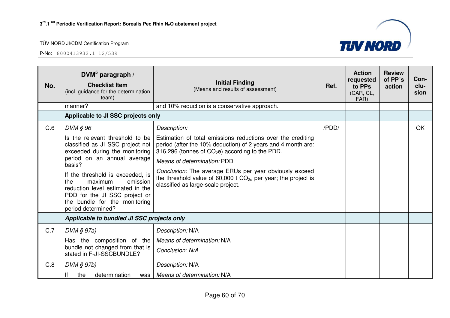

| No. | DVM <sup>5</sup> paragraph /<br><b>Checklist Item</b><br>(incl. guidance for the determination<br>team)                                                                                                                                                                                                                            | <b>Initial Finding</b><br>(Means and results of assessment)                                                                                                                                                                                                                                                                                                                                                     | Ref.  | <b>Action</b><br>requested<br>to PPs<br>(CAR, CL,<br>FAR) | <b>Review</b><br>of PP's<br>action | Con-<br>clu-<br>sion |
|-----|------------------------------------------------------------------------------------------------------------------------------------------------------------------------------------------------------------------------------------------------------------------------------------------------------------------------------------|-----------------------------------------------------------------------------------------------------------------------------------------------------------------------------------------------------------------------------------------------------------------------------------------------------------------------------------------------------------------------------------------------------------------|-------|-----------------------------------------------------------|------------------------------------|----------------------|
|     | manner?                                                                                                                                                                                                                                                                                                                            | and 10% reduction is a conservative approach.                                                                                                                                                                                                                                                                                                                                                                   |       |                                                           |                                    |                      |
|     | Applicable to JI SSC projects only                                                                                                                                                                                                                                                                                                 |                                                                                                                                                                                                                                                                                                                                                                                                                 |       |                                                           |                                    |                      |
| C.6 | DVM § 96<br>Is the relevant threshold to be<br>classified as JI SSC project not<br>exceeded during the monitoring<br>period on an annual average<br>basis?<br>If the threshold is exceeded, is<br>the<br>maximum<br>emission<br>reduction level estimated in the<br>PDD for the JI SSC project or<br>the bundle for the monitoring | Description:<br>Estimation of total emissions reductions over the crediting<br>period (after the 10% deduction) of 2 years and 4 month are:<br>316,296 (tonnes of CO <sub>2</sub> e) according to the PDD.<br>Means of determination: PDD<br>Conclusion: The average ERUs per year obviously exceed<br>the threshold value of 60,000 t $CO_{2e}$ per year; the project is<br>classified as large-scale project. | /PDD/ |                                                           |                                    | OK                   |
|     | period determined?                                                                                                                                                                                                                                                                                                                 |                                                                                                                                                                                                                                                                                                                                                                                                                 |       |                                                           |                                    |                      |
|     | Applicable to bundled JI SSC projects only                                                                                                                                                                                                                                                                                         |                                                                                                                                                                                                                                                                                                                                                                                                                 |       |                                                           |                                    |                      |
| C.7 | $DVM \S 97a)$<br>Has the composition of the<br>bundle not changed from that is<br>stated in F-JI-SSCBUNDLE?                                                                                                                                                                                                                        | Description: N/A<br>Means of determination: N/A<br>Conclusion: N/A                                                                                                                                                                                                                                                                                                                                              |       |                                                           |                                    |                      |
| C.8 | DVM § 97b)<br>determination<br>the<br>was                                                                                                                                                                                                                                                                                          | Description: N/A<br>Means of determination: N/A                                                                                                                                                                                                                                                                                                                                                                 |       |                                                           |                                    |                      |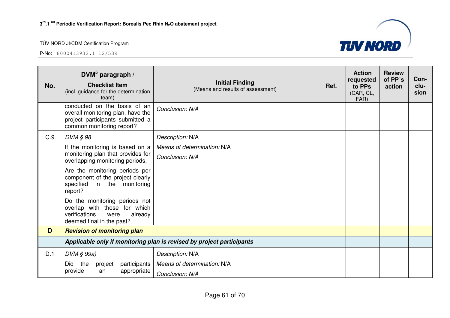

| No. | DVM $5$ paragraph /<br><b>Checklist Item</b><br>(incl. guidance for the determination<br>team)                                     | <b>Initial Finding</b><br>(Means and results of assessment) | Ref. | <b>Action</b><br>requested<br>to PPs<br>(CAR, CL,<br>FAR) | <b>Review</b><br>of PP's<br>action | Con-<br>clu-<br>sion |
|-----|------------------------------------------------------------------------------------------------------------------------------------|-------------------------------------------------------------|------|-----------------------------------------------------------|------------------------------------|----------------------|
|     | conducted on the basis of an<br>overall monitoring plan, have the<br>project participants submitted a<br>common monitoring report? | Conclusion: N/A                                             |      |                                                           |                                    |                      |
| C.9 | DVM § 98                                                                                                                           | Description: N/A                                            |      |                                                           |                                    |                      |
|     | If the monitoring is based on a                                                                                                    | Means of determination: N/A                                 |      |                                                           |                                    |                      |
|     | monitoring plan that provides for<br>overlapping monitoring periods,                                                               | Conclusion: N/A                                             |      |                                                           |                                    |                      |
|     | Are the monitoring periods per<br>component of the project clearly<br>specified<br>in the monitoring<br>report?                    |                                                             |      |                                                           |                                    |                      |
|     | Do the monitoring periods not<br>overlap with those for which<br>verifications<br>already<br>were<br>deemed final in the past?     |                                                             |      |                                                           |                                    |                      |
| D   | <b>Revision of monitoring plan</b>                                                                                                 |                                                             |      |                                                           |                                    |                      |
|     | Applicable only if monitoring plan is revised by project participants                                                              |                                                             |      |                                                           |                                    |                      |
| D.1 | $DVM \S 99a)$                                                                                                                      | Description: N/A                                            |      |                                                           |                                    |                      |
|     | Did<br>the<br>participants<br>project                                                                                              | Means of determination: N/A                                 |      |                                                           |                                    |                      |
|     | provide<br>appropriate<br>an                                                                                                       | Conclusion: N/A                                             |      |                                                           |                                    |                      |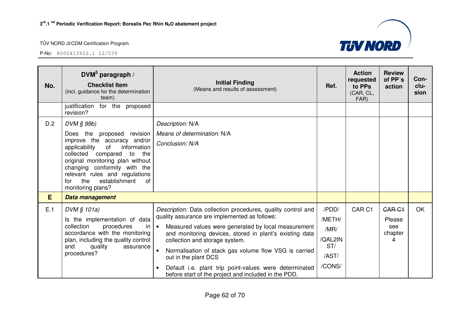

| No. | DVM $5$ paragraph /<br><b>Checklist Item</b><br>(incl. guidance for the determination<br>team)                                                                                                                                                                                                                   | <b>Initial Finding</b><br>(Means and results of assessment)                                                                                                                                                                                                                                                                                                                                                                                                                                    | Ref.                                                         | <b>Action</b><br>requested<br>to PPs<br>(CAR, CL,<br>FAR) | <b>Review</b><br>of PP's<br>action             | Con-<br>clu-<br>sion |
|-----|------------------------------------------------------------------------------------------------------------------------------------------------------------------------------------------------------------------------------------------------------------------------------------------------------------------|------------------------------------------------------------------------------------------------------------------------------------------------------------------------------------------------------------------------------------------------------------------------------------------------------------------------------------------------------------------------------------------------------------------------------------------------------------------------------------------------|--------------------------------------------------------------|-----------------------------------------------------------|------------------------------------------------|----------------------|
|     | justification<br>for the proposed<br>revision?                                                                                                                                                                                                                                                                   |                                                                                                                                                                                                                                                                                                                                                                                                                                                                                                |                                                              |                                                           |                                                |                      |
| D.2 | DVM § 99b)<br>Does the proposed revision<br>improve the accuracy and/or<br>information<br>of<br>applicability<br>collected compared<br>to<br>the<br>original monitoring plan without<br>changing conformity with the<br>relevant rules and regulations<br>establishment<br>of<br>the<br>for<br>monitoring plans? | Description: N/A<br>Means of determination: N/A<br>Conclusion: N/A                                                                                                                                                                                                                                                                                                                                                                                                                             |                                                              |                                                           |                                                |                      |
| E   | Data management                                                                                                                                                                                                                                                                                                  |                                                                                                                                                                                                                                                                                                                                                                                                                                                                                                |                                                              |                                                           |                                                |                      |
| E.1 | DVM § 101a)<br>Is the implementation of data<br>collection<br>procedures<br>in<br>accordance with the monitoring<br>plan, including the quality control<br>and<br>quality<br>assurance<br>procedures?                                                                                                            | Description: Data collection procedures, quality control and<br>quality assurance are implemented as follows:<br>$\bullet$<br>Measured values were generated by local measurement<br>and monitoring devices, stored in plant's existing data<br>collection and storage system.<br>Normalisation of stack gas volume flow VSG is carried<br>$\bullet$<br>out in the plant DCS<br>Default i.e. plant trip point-values were determinated<br>before start of the project and included in the PDD. | /PDD/<br>/METH/<br>/MR/<br>/QAL2IN<br>ST/<br>/AST/<br>/CONS/ | CAR <sub>C1</sub>                                         | <b>CAR C1</b><br>Please<br>see<br>chapter<br>4 | <b>OK</b>            |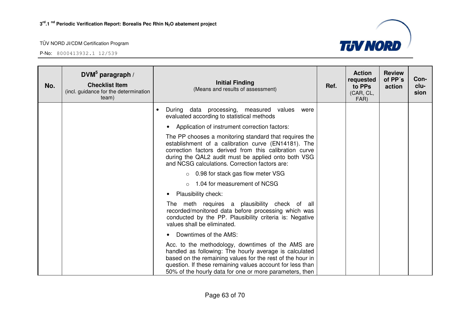

| No. | $DWM^5$ paragraph /<br><b>Checklist Item</b><br>(incl. guidance for the determination<br>team) | <b>Initial Finding</b><br>(Means and results of assessment)                                                                                                                                                                                                                                      | Ref. | <b>Action</b><br>requested<br>to PPs<br>(CAR, CL,<br>FAR) | <b>Review</b><br>of PP's<br>action | Con-<br>clu-<br>sion |
|-----|------------------------------------------------------------------------------------------------|--------------------------------------------------------------------------------------------------------------------------------------------------------------------------------------------------------------------------------------------------------------------------------------------------|------|-----------------------------------------------------------|------------------------------------|----------------------|
|     |                                                                                                | During data processing, measured values<br>were<br>evaluated according to statistical methods                                                                                                                                                                                                    |      |                                                           |                                    |                      |
|     |                                                                                                | Application of instrument correction factors:<br>$\bullet$                                                                                                                                                                                                                                       |      |                                                           |                                    |                      |
|     |                                                                                                | The PP chooses a monitoring standard that requires the<br>establishment of a calibration curve (EN14181). The<br>correction factors derived from this calibration curve<br>during the QAL2 audit must be applied onto both VSG<br>and NCSG calculations. Correction factors are:                 |      |                                                           |                                    |                      |
|     |                                                                                                | $\circ$ 0.98 for stack gas flow meter VSG                                                                                                                                                                                                                                                        |      |                                                           |                                    |                      |
|     |                                                                                                | 1.04 for measurement of NCSG                                                                                                                                                                                                                                                                     |      |                                                           |                                    |                      |
|     |                                                                                                | Plausibility check:                                                                                                                                                                                                                                                                              |      |                                                           |                                    |                      |
|     |                                                                                                | The meth requires a plausibility check of all<br>recorded/monitored data before processing which was<br>conducted by the PP. Plausibility criteria is: Negative<br>values shall be eliminated.                                                                                                   |      |                                                           |                                    |                      |
|     |                                                                                                | Downtimes of the AMS:                                                                                                                                                                                                                                                                            |      |                                                           |                                    |                      |
|     |                                                                                                | Acc. to the methodology, downtimes of the AMS are<br>handled as following: The hourly average is calculated<br>based on the remaining values for the rest of the hour in<br>question. If these remaining values account for less than<br>50% of the hourly data for one or more parameters, then |      |                                                           |                                    |                      |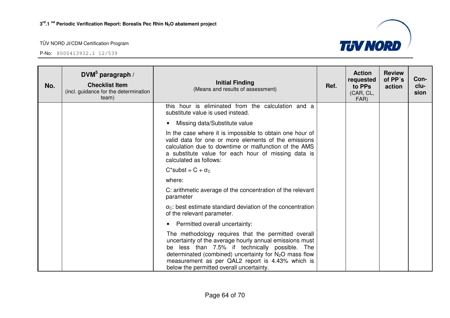

| No. | $DWM^5$ paragraph /<br><b>Checklist Item</b><br>(incl. guidance for the determination<br>team) | <b>Initial Finding</b><br>(Means and results of assessment)                                                                                                                                                                                                                                                                  | Ref. | <b>Action</b><br>requested<br>to PPs<br>(CAR, CL,<br>FAR) | <b>Review</b><br>of PP's<br>action | Con-<br>clu-<br>sion |
|-----|------------------------------------------------------------------------------------------------|------------------------------------------------------------------------------------------------------------------------------------------------------------------------------------------------------------------------------------------------------------------------------------------------------------------------------|------|-----------------------------------------------------------|------------------------------------|----------------------|
|     |                                                                                                | this hour is eliminated from the calculation and a<br>substitute value is used instead.                                                                                                                                                                                                                                      |      |                                                           |                                    |                      |
|     |                                                                                                | Missing data/Substitute value<br>$\bullet$                                                                                                                                                                                                                                                                                   |      |                                                           |                                    |                      |
|     |                                                                                                | In the case where it is impossible to obtain one hour of<br>valid data for one or more elements of the emissions<br>calculation due to downtime or malfunction of the AMS<br>a substitute value for each hour of missing data is<br>calculated as follows:                                                                   |      |                                                           |                                    |                      |
|     |                                                                                                | $C^*$ subst = $C + \sigma_C$                                                                                                                                                                                                                                                                                                 |      |                                                           |                                    |                      |
|     |                                                                                                | where:                                                                                                                                                                                                                                                                                                                       |      |                                                           |                                    |                      |
|     |                                                                                                | C: arithmetic average of the concentration of the relevant<br>parameter                                                                                                                                                                                                                                                      |      |                                                           |                                    |                      |
|     |                                                                                                | $\sigma_{\rm C}$ : best estimate standard deviation of the concentration<br>of the relevant parameter.                                                                                                                                                                                                                       |      |                                                           |                                    |                      |
|     |                                                                                                | Permitted overall uncertainty:<br>٠                                                                                                                                                                                                                                                                                          |      |                                                           |                                    |                      |
|     |                                                                                                | The methodology requires that the permitted overall<br>uncertainty of the average hourly annual emissions must<br>be less than 7.5% if technically possible. The<br>determinated (combined) uncertainty for $N_2O$ mass flow<br>measurement as per QAL2 report is 4.43% which is<br>below the permitted overall uncertainty. |      |                                                           |                                    |                      |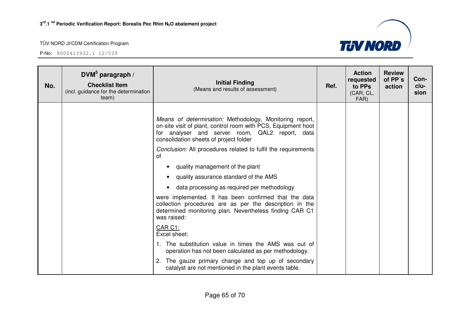

| No. | DVM $5$ paragraph /<br><b>Checklist Item</b><br>(incl. guidance for the determination<br>team) | <b>Initial Finding</b><br>(Means and results of assessment)                                                                                                                                                           | Ref. | <b>Action</b><br>requested<br>to PPs<br>(CAR, CL,<br>FAR) | <b>Review</b><br>of PP's<br>action | Con-<br>clu-<br>sion |
|-----|------------------------------------------------------------------------------------------------|-----------------------------------------------------------------------------------------------------------------------------------------------------------------------------------------------------------------------|------|-----------------------------------------------------------|------------------------------------|----------------------|
|     |                                                                                                | Means of determination: Methodology, Monitoring report,<br>on-site visit of plant, control room with PCS, Equipment hoot<br>for analyser and server room, QAL2 report, data<br>consolidation sheets of project folder |      |                                                           |                                    |                      |
|     |                                                                                                | Conclusion: All procedures related to fulfil the requirements<br>οf                                                                                                                                                   |      |                                                           |                                    |                      |
|     |                                                                                                | quality management of the plant                                                                                                                                                                                       |      |                                                           |                                    |                      |
|     |                                                                                                | quality assurance standard of the AMS                                                                                                                                                                                 |      |                                                           |                                    |                      |
|     |                                                                                                | data processing as required per methodology                                                                                                                                                                           |      |                                                           |                                    |                      |
|     |                                                                                                | were implemented. It has been confirmed that the data<br>collection procedures are as per the description in the<br>determined monitoring plan. Nevertheless finding CAR C1<br>was raised:                            |      |                                                           |                                    |                      |
|     |                                                                                                | CAR C1:<br>Excel sheet:                                                                                                                                                                                               |      |                                                           |                                    |                      |
|     |                                                                                                | 1. The substitution value in times the AMS was out of<br>operation has not been calculated as per methodology.                                                                                                        |      |                                                           |                                    |                      |
|     |                                                                                                | The gauze primary change and top up of secondary<br>catalyst are not mentioned in the plant events table.                                                                                                             |      |                                                           |                                    |                      |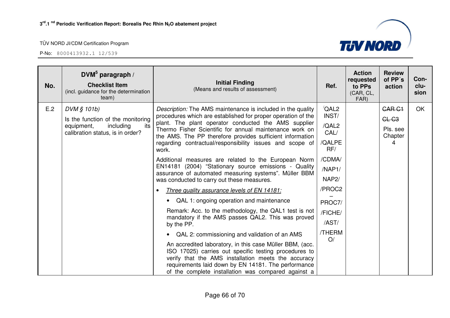

| No. | DVM $5$ paragraph /<br><b>Checklist Item</b><br>(incl. guidance for the determination<br>team)                         | <b>Initial Finding</b><br>(Means and results of assessment)                                                                                                                                                                                                                                                                                                                                                                                                                                                                                                                                                                                                                                                                                                                                                                                                                                                                                                                                                                                                                                                                                                                         | Ref.                                                                                                                                                                | <b>Action</b><br>requested<br>to PPs<br>(CAR, CL,<br>FAR) | <b>Review</b><br>of PP's<br>action                   | Con-<br>clu-<br>sion |
|-----|------------------------------------------------------------------------------------------------------------------------|-------------------------------------------------------------------------------------------------------------------------------------------------------------------------------------------------------------------------------------------------------------------------------------------------------------------------------------------------------------------------------------------------------------------------------------------------------------------------------------------------------------------------------------------------------------------------------------------------------------------------------------------------------------------------------------------------------------------------------------------------------------------------------------------------------------------------------------------------------------------------------------------------------------------------------------------------------------------------------------------------------------------------------------------------------------------------------------------------------------------------------------------------------------------------------------|---------------------------------------------------------------------------------------------------------------------------------------------------------------------|-----------------------------------------------------------|------------------------------------------------------|----------------------|
| E.2 | DVM § 101b)<br>Is the function of the monitoring<br>including<br>its<br>equipment,<br>calibration status, is in order? | <i>Description:</i> The AMS maintenance is included in the quality<br>procedures which are established for proper operation of the<br>plant. The plant operator conducted the AMS supplier<br>Thermo Fisher Scientific for annual maintenance work on<br>the AMS. The PP therefore provides sufficient information<br>regarding contractual/responsibility issues and scope of<br>work.<br>Additional measures are related to the European Norm<br>EN14181 (2004) "Stationary source emissions - Quality<br>assurance of automated measuring systems". Müller BBM<br>was conducted to carry out these measures.<br>Three quality assurance levels of EN 14181:<br>• QAL 1: ongoing operation and maintenance<br>Remark: Acc. to the methodology, the QAL1 test is not<br>mandatory if the AMS passes QAL2. This was proved<br>by the PP.<br>QAL 2: commissioning and validation of an AMS<br>An accredited laboratory, in this case Müller BBM, (acc.<br>ISO 17025) carries out specific testing procedures to<br>verify that the AMS installation meets the accuracy<br>requirements laid down by EN 14181. The performance<br>of the complete installation was compared against a | $\sqrt{\mathsf{QAL2}}$<br>INST/<br>/QAL2<br>CAL/<br>/QALPE<br>RF/<br>/CDMA/<br>/NAP1/<br>NAP <sub>2</sub> /<br>/PROC2<br>PROC7/<br>/FICHE/<br>/AST/<br>/THERM<br>O/ |                                                           | <b>CAR C1</b><br>$CL-G3$<br>Pls. see<br>Chapter<br>4 | <b>OK</b>            |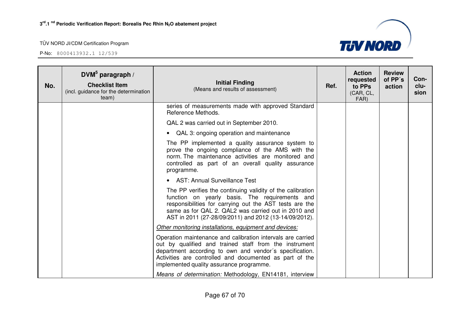

| No. | DVM $5$ paragraph /<br><b>Checklist Item</b><br>(incl. guidance for the determination<br>team) | <b>Initial Finding</b><br>(Means and results of assessment)                                                                                                                                                                                                                             | Ref. | <b>Action</b><br>requested<br>to PPs<br>(CAR, CL,<br>FAR) | <b>Review</b><br>of PP's<br>action | Con-<br>clu-<br>sion |
|-----|------------------------------------------------------------------------------------------------|-----------------------------------------------------------------------------------------------------------------------------------------------------------------------------------------------------------------------------------------------------------------------------------------|------|-----------------------------------------------------------|------------------------------------|----------------------|
|     |                                                                                                | series of measurements made with approved Standard<br>Reference Methods.                                                                                                                                                                                                                |      |                                                           |                                    |                      |
|     |                                                                                                | QAL 2 was carried out in September 2010.                                                                                                                                                                                                                                                |      |                                                           |                                    |                      |
|     |                                                                                                | • QAL 3: ongoing operation and maintenance                                                                                                                                                                                                                                              |      |                                                           |                                    |                      |
|     |                                                                                                | The PP implemented a quality assurance system to<br>prove the ongoing compliance of the AMS with the<br>norm. The maintenance activities are monitored and<br>controlled as part of an overall quality assurance<br>programme.                                                          |      |                                                           |                                    |                      |
|     |                                                                                                | • AST: Annual Surveillance Test                                                                                                                                                                                                                                                         |      |                                                           |                                    |                      |
|     |                                                                                                | The PP verifies the continuing validity of the calibration<br>function on yearly basis. The requirements and<br>responsibilities for carrying out the AST tests are the<br>same as for QAL 2. QAL2 was carried out in 2010 and<br>AST in 2011 (27-28/09/2011) and 2012 (13-14/09/2012). |      |                                                           |                                    |                      |
|     |                                                                                                | Other monitoring installations, equipment and devices:                                                                                                                                                                                                                                  |      |                                                           |                                    |                      |
|     |                                                                                                | Operation maintenance and calibration intervals are carried<br>out by qualified and trained staff from the instrument<br>department according to own and vendor's specification.<br>Activities are controlled and documented as part of the<br>implemented quality assurance programme. |      |                                                           |                                    |                      |
|     |                                                                                                | Means of determination: Methodology, EN14181, interview                                                                                                                                                                                                                                 |      |                                                           |                                    |                      |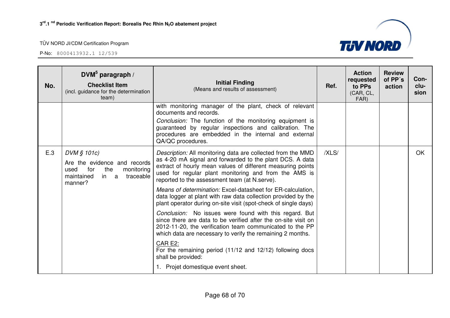

| No. | DVM $5$ paragraph /<br><b>Checklist Item</b><br>(incl. guidance for the determination<br>team)                                | <b>Initial Finding</b><br>(Means and results of assessment)                                                                                                                                                                                                                                      | Ref.  | <b>Action</b><br>requested<br>to PPs<br>(CAR, CL,<br>FAR) | <b>Review</b><br>of PP's<br>action | Con-<br>clu-<br>sion |
|-----|-------------------------------------------------------------------------------------------------------------------------------|--------------------------------------------------------------------------------------------------------------------------------------------------------------------------------------------------------------------------------------------------------------------------------------------------|-------|-----------------------------------------------------------|------------------------------------|----------------------|
|     |                                                                                                                               | with monitoring manager of the plant, check of relevant<br>documents and records.<br>Conclusion: The function of the monitoring equipment is<br>guaranteed by regular inspections and calibration. The<br>procedures are embedded in the internal and external<br>QA/QC procedures.              |       |                                                           |                                    |                      |
| E.3 | DVM § 101c)<br>Are the evidence and records<br>the<br>for<br>monitoring<br>used<br>traceable<br>maintained<br>in a<br>manner? | Description: All monitoring data are collected from the MMD<br>as 4-20 mA signal and forwarded to the plant DCS. A data<br>extract of hourly mean values of different measuring points<br>used for regular plant monitoring and from the AMS is<br>reported to the assessment team (at N.serve). | /XLS/ |                                                           |                                    | <b>OK</b>            |
|     |                                                                                                                               | Means of determination: Excel-datasheet for ER-calculation,<br>data logger at plant with raw data collection provided by the<br>plant operator during on-site visit (spot-check of single days)                                                                                                  |       |                                                           |                                    |                      |
|     |                                                                                                                               | Conclusion: No issues were found with this regard. But<br>since there are data to be verified after the on-site visit on<br>2012-11-20, the verification team communicated to the PP<br>which data are necessary to verify the remaining 2 months.                                               |       |                                                           |                                    |                      |
|     |                                                                                                                               | <b>CAR E2:</b><br>For the remaining period (11/12 and 12/12) following docs<br>shall be provided:<br>1. Projet domestique event sheet.                                                                                                                                                           |       |                                                           |                                    |                      |
|     |                                                                                                                               |                                                                                                                                                                                                                                                                                                  |       |                                                           |                                    |                      |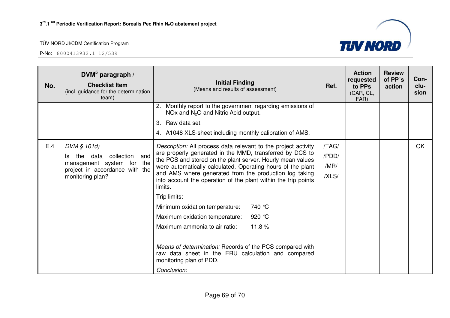

| No. | DVM $5$ paragraph /<br><b>Checklist Item</b><br>(incl. guidance for the determination<br>team)                                        | <b>Initial Finding</b><br>(Means and results of assessment)                                                                                                                                                                                                                                                                                                                                                                                                                                                                                                                                                                                                                                                 | Ref.                            | <b>Action</b><br>requested<br>to PPs<br>(CAR, CL,<br>FAR) | <b>Review</b><br>of PP's<br>action | Con-<br>clu-<br>sion |
|-----|---------------------------------------------------------------------------------------------------------------------------------------|-------------------------------------------------------------------------------------------------------------------------------------------------------------------------------------------------------------------------------------------------------------------------------------------------------------------------------------------------------------------------------------------------------------------------------------------------------------------------------------------------------------------------------------------------------------------------------------------------------------------------------------------------------------------------------------------------------------|---------------------------------|-----------------------------------------------------------|------------------------------------|----------------------|
|     |                                                                                                                                       | Monthly report to the government regarding emissions of<br>2.<br>$NOx$ and $N2O$ and Nitric Acid output.<br>Raw data set.<br>3.<br>4. A1048 XLS-sheet including monthly calibration of AMS.                                                                                                                                                                                                                                                                                                                                                                                                                                                                                                                 |                                 |                                                           |                                    |                      |
| E.4 | DVM § 101d)<br>collection<br>the data<br>and<br>Is<br>management system for the<br>project in accordance with the<br>monitoring plan? | Description: All process data relevant to the project activity<br>are properly generated in the MMD, transferred by DCS to<br>the PCS and stored on the plant server. Hourly mean values<br>were automatically calculated. Operating hours of the plant<br>and AMS where generated from the production log taking<br>into account the operation of the plant within the trip points<br>limits.<br>Trip limits:<br>740 ℃<br>Minimum oxidation temperature:<br>920 °C<br>Maximum oxidation temperature:<br>Maximum ammonia to air ratio:<br>11.8%<br>Means of determination: Records of the PCS compared with<br>raw data sheet in the ERU calculation and compared<br>monitoring plan of PDD.<br>Conclusion: | /TAG/<br>/PDD/<br>/MR/<br>/XLS/ |                                                           |                                    | OK                   |